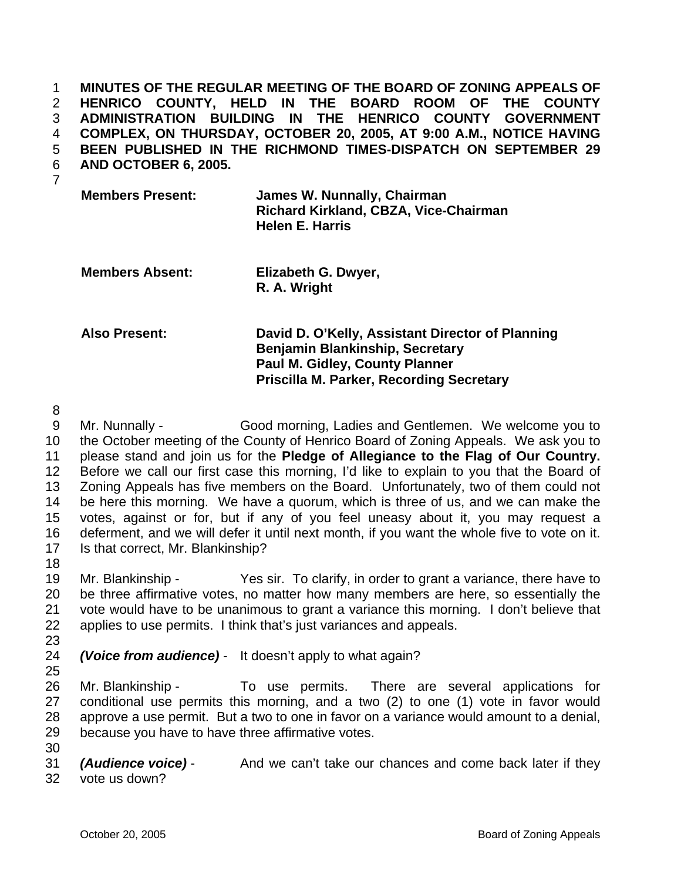**MINUTES OF THE REGULAR MEETING OF THE BOARD OF ZONING APPEALS OF HENRICO COUNTY, HELD IN THE BOARD ROOM OF THE COUNTY ADMINISTRATION BUILDING IN THE HENRICO COUNTY GOVERNMENT COMPLEX, ON THURSDAY, OCTOBER 20, 2005, AT 9:00 A.M., NOTICE HAVING BEEN PUBLISHED IN THE RICHMOND TIMES-DISPATCH ON SEPTEMBER 29 AND OCTOBER 6, 2005.**  1 2 3 4 5 6

7

| <b>Members Present:</b> | James W. Nunnally, Chairman<br>Richard Kirkland, CBZA, Vice-Chairman |
|-------------------------|----------------------------------------------------------------------|
|                         | <b>Helen E. Harris</b>                                               |

| <b>Members Absent:</b> | Elizabeth G. Dwyer, |
|------------------------|---------------------|
|                        | R. A. Wright        |

**Also Present: David D. O'Kelly, Assistant Director of Planning Benjamin Blankinship, Secretary Paul M. Gidley, County Planner Priscilla M. Parker, Recording Secretary** 

8

9 10 11 12 13 14 15 16 17 Mr. Nunnally - Good morning, Ladies and Gentlemen. We welcome you to the October meeting of the County of Henrico Board of Zoning Appeals. We ask you to please stand and join us for the **Pledge of Allegiance to the Flag of Our Country.** Before we call our first case this morning, I'd like to explain to you that the Board of Zoning Appeals has five members on the Board. Unfortunately, two of them could not be here this morning. We have a quorum, which is three of us, and we can make the votes, against or for, but if any of you feel uneasy about it, you may request a deferment, and we will defer it until next month, if you want the whole five to vote on it. Is that correct, Mr. Blankinship?

18

19 20 21 22 Mr. Blankinship - Yes sir. To clarify, in order to grant a variance, there have to be three affirmative votes, no matter how many members are here, so essentially the vote would have to be unanimous to grant a variance this morning. I don't believe that applies to use permits. I think that's just variances and appeals.

- 23
- 24 *(Voice from audience)* - It doesn't apply to what again?
- 25

26 27 28 29 Mr. Blankinship - To use permits. There are several applications for conditional use permits this morning, and a two (2) to one (1) vote in favor would approve a use permit. But a two to one in favor on a variance would amount to a denial, because you have to have three affirmative votes.

30

31 *(Audience voice)* - And we can't take our chances and come back later if they

32 vote us down?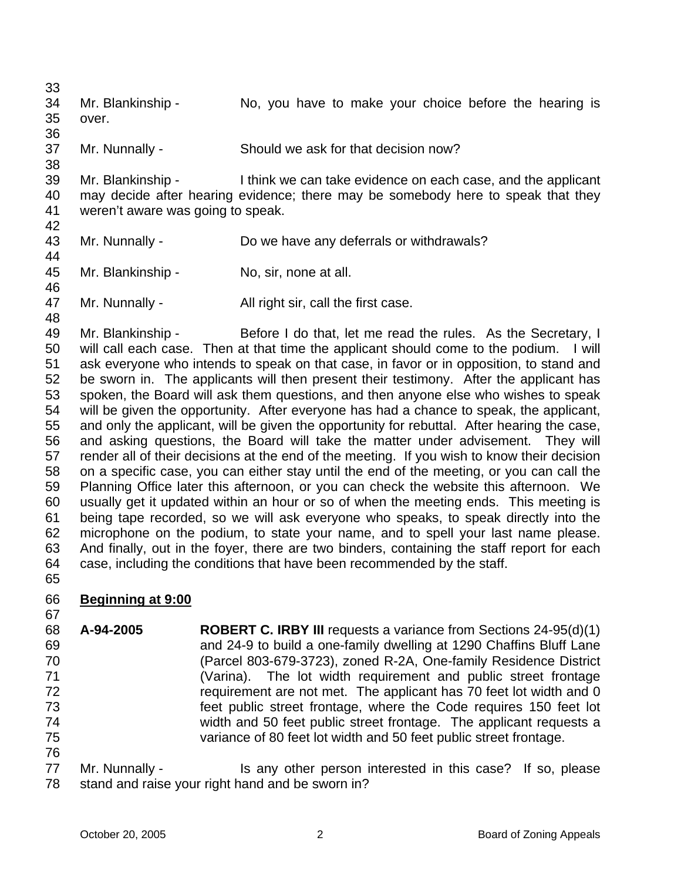33 34 35 36 37 38 39 40 41 42 43 44 45 46 47 48 49 50 51 52 53 54 55 56 57 58 59 60 61 62 63 64 65 Mr. Blankinship - No, you have to make your choice before the hearing is over. Mr. Nunnally - Should we ask for that decision now? Mr. Blankinship - I think we can take evidence on each case, and the applicant may decide after hearing evidence; there may be somebody here to speak that they weren't aware was going to speak. Mr. Nunnally - Do we have any deferrals or withdrawals? Mr. Blankinship - No, sir, none at all. Mr. Nunnally - All right sir, call the first case. Mr. Blankinship - Before I do that, let me read the rules. As the Secretary, I will call each case. Then at that time the applicant should come to the podium. I will ask everyone who intends to speak on that case, in favor or in opposition, to stand and be sworn in. The applicants will then present their testimony. After the applicant has spoken, the Board will ask them questions, and then anyone else who wishes to speak will be given the opportunity. After everyone has had a chance to speak, the applicant, and only the applicant, will be given the opportunity for rebuttal. After hearing the case, and asking questions, the Board will take the matter under advisement. They will render all of their decisions at the end of the meeting. If you wish to know their decision on a specific case, you can either stay until the end of the meeting, or you can call the Planning Office later this afternoon, or you can check the website this afternoon. We usually get it updated within an hour or so of when the meeting ends. This meeting is being tape recorded, so we will ask everyone who speaks, to speak directly into the microphone on the podium, to state your name, and to spell your last name please. And finally, out in the foyer, there are two binders, containing the staff report for each case, including the conditions that have been recommended by the staff.

## 66 **Beginning at 9:00**

- 68 69 70 71 72 73 74 75 76 **A-94-2005 ROBERT C. IRBY III** requests a variance from Sections 24-95(d)(1) and 24-9 to build a one-family dwelling at 1290 Chaffins Bluff Lane (Parcel 803-679-3723), zoned R-2A, One-family Residence District (Varina). The lot width requirement and public street frontage requirement are not met. The applicant has 70 feet lot width and 0 feet public street frontage, where the Code requires 150 feet lot width and 50 feet public street frontage. The applicant requests a variance of 80 feet lot width and 50 feet public street frontage.
- 77 78 Mr. Nunnally - Is any other person interested in this case? If so, please stand and raise your right hand and be sworn in?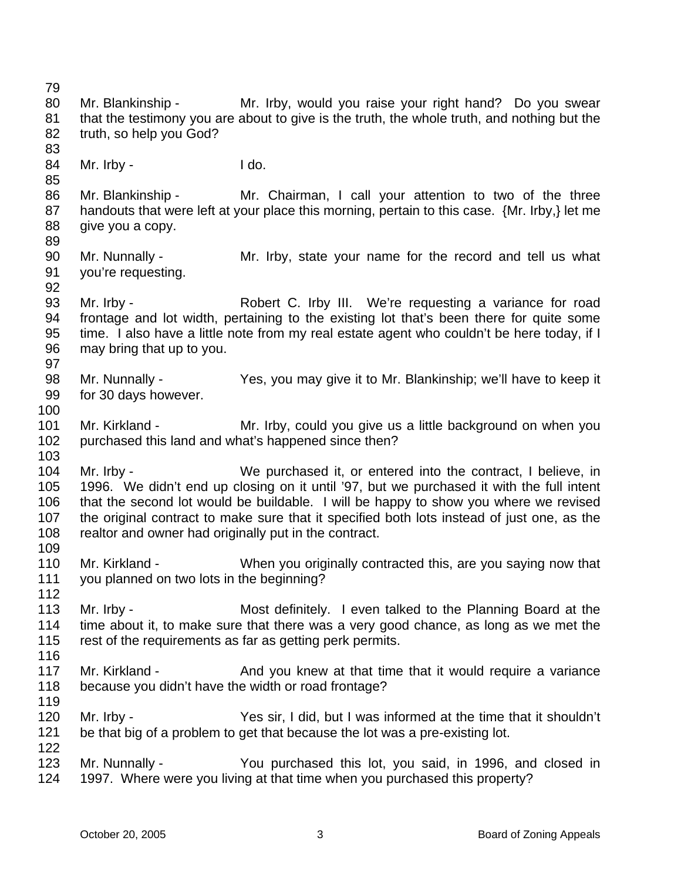79 80 81 82 83 84 85 86 87 88 89 90 91 92 93 94 95 96 97 98 99 100 101 102 103 104 105 106 107 108 109 110 111 112 113 114 115 116 117 118 119 120 121 122 123 124 Mr. Blankinship - Mr. Irby, would you raise your right hand? Do you swear that the testimony you are about to give is the truth, the whole truth, and nothing but the truth, so help you God? Mr. Irby - I do. Mr. Blankinship - Mr. Chairman, I call your attention to two of the three handouts that were left at your place this morning, pertain to this case. {Mr. Irby,} let me give you a copy. Mr. Nunnally - The Mr. Irby, state your name for the record and tell us what you're requesting. Mr. Irby - Robert C. Irby III. We're requesting a variance for road frontage and lot width, pertaining to the existing lot that's been there for quite some time. I also have a little note from my real estate agent who couldn't be here today, if I may bring that up to you. Mr. Nunnally - Yes, you may give it to Mr. Blankinship; we'll have to keep it for 30 days however. Mr. Kirkland - Mr. Irby, could you give us a little background on when you purchased this land and what's happened since then? Mr. Irby - We purchased it, or entered into the contract, I believe, in 1996. We didn't end up closing on it until '97, but we purchased it with the full intent that the second lot would be buildable. I will be happy to show you where we revised the original contract to make sure that it specified both lots instead of just one, as the realtor and owner had originally put in the contract. Mr. Kirkland - When you originally contracted this, are you saying now that you planned on two lots in the beginning? Mr. Irby - Most definitely. I even talked to the Planning Board at the time about it, to make sure that there was a very good chance, as long as we met the rest of the requirements as far as getting perk permits. Mr. Kirkland - And you knew at that time that it would require a variance because you didn't have the width or road frontage? Mr. Irby - Yes sir, I did, but I was informed at the time that it shouldn't be that big of a problem to get that because the lot was a pre-existing lot. Mr. Nunnally - You purchased this lot, you said, in 1996, and closed in 1997. Where were you living at that time when you purchased this property?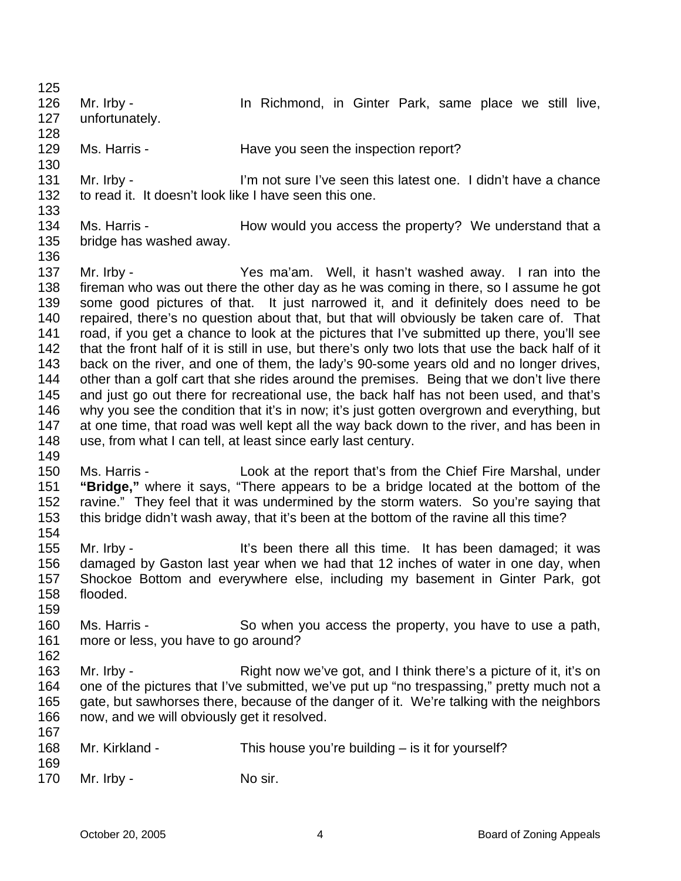126 127 128 129 130 131 132 133 134 135 136 137 138 139 140 141 142 143 144 145 146 147 148 149 150 151 152 153 154 155 156 157 158 159 160 161 162 163 164 165 166 167 168 169 170 Mr. Irby - The State Christopher Cinter Park, same place we still live, unfortunately. Ms. Harris - Have you seen the inspection report? Mr. Irby - I'm not sure I've seen this latest one. I didn't have a chance to read it. It doesn't look like I have seen this one. Ms. Harris - **How would you access the property?** We understand that a bridge has washed away. Mr. Irby - Yes ma'am. Well, it hasn't washed away. I ran into the fireman who was out there the other day as he was coming in there, so I assume he got some good pictures of that. It just narrowed it, and it definitely does need to be repaired, there's no question about that, but that will obviously be taken care of. That road, if you get a chance to look at the pictures that I've submitted up there, you'll see that the front half of it is still in use, but there's only two lots that use the back half of it back on the river, and one of them, the lady's 90-some years old and no longer drives, other than a golf cart that she rides around the premises. Being that we don't live there and just go out there for recreational use, the back half has not been used, and that's why you see the condition that it's in now; it's just gotten overgrown and everything, but at one time, that road was well kept all the way back down to the river, and has been in use, from what I can tell, at least since early last century. Ms. Harris - Look at the report that's from the Chief Fire Marshal, under **"Bridge,"** where it says, "There appears to be a bridge located at the bottom of the ravine." They feel that it was undermined by the storm waters. So you're saying that this bridge didn't wash away, that it's been at the bottom of the ravine all this time? Mr. Irby - This been there all this time. It has been damaged; it was damaged by Gaston last year when we had that 12 inches of water in one day, when Shockoe Bottom and everywhere else, including my basement in Ginter Park, got flooded. Ms. Harris - So when you access the property, you have to use a path, more or less, you have to go around? Mr. Irby - Right now we've got, and I think there's a picture of it, it's on one of the pictures that I've submitted, we've put up "no trespassing," pretty much not a gate, but sawhorses there, because of the danger of it. We're talking with the neighbors now, and we will obviously get it resolved. Mr. Kirkland - This house you're building – is it for yourself? Mr. Irby - No sir.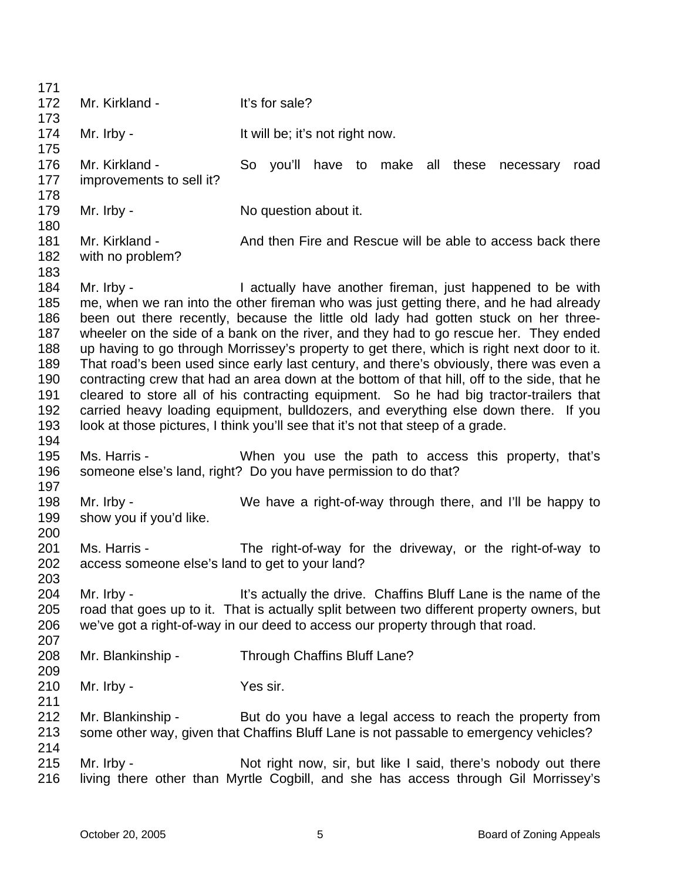| 171        |                                                 |                                                                                                                                                    |
|------------|-------------------------------------------------|----------------------------------------------------------------------------------------------------------------------------------------------------|
| 172        | Mr. Kirkland -                                  | It's for sale?                                                                                                                                     |
| 173        |                                                 |                                                                                                                                                    |
| 174        | Mr. Irby -                                      | It will be; it's not right now.                                                                                                                    |
| 175        |                                                 |                                                                                                                                                    |
| 176        | Mr. Kirkland -                                  | So you'll have to make<br>these<br>all<br>necessary<br>road                                                                                        |
| 177        | improvements to sell it?                        |                                                                                                                                                    |
| 178        |                                                 |                                                                                                                                                    |
| 179        | Mr. Irby -                                      | No question about it.                                                                                                                              |
| 180        |                                                 |                                                                                                                                                    |
| 181<br>182 | Mr. Kirkland -                                  | And then Fire and Rescue will be able to access back there                                                                                         |
| 183        | with no problem?                                |                                                                                                                                                    |
| 184        | Mr. Irby -                                      | I actually have another fireman, just happened to be with                                                                                          |
| 185        |                                                 | me, when we ran into the other fireman who was just getting there, and he had already                                                              |
| 186        |                                                 | been out there recently, because the little old lady had gotten stuck on her three-                                                                |
| 187        |                                                 | wheeler on the side of a bank on the river, and they had to go rescue her. They ended                                                              |
| 188        |                                                 | up having to go through Morrissey's property to get there, which is right next door to it.                                                         |
| 189        |                                                 | That road's been used since early last century, and there's obviously, there was even a                                                            |
| 190        |                                                 | contracting crew that had an area down at the bottom of that hill, off to the side, that he                                                        |
| 191        |                                                 | cleared to store all of his contracting equipment. So he had big tractor-trailers that                                                             |
| 192        |                                                 | carried heavy loading equipment, bulldozers, and everything else down there. If you                                                                |
| 193        |                                                 | look at those pictures, I think you'll see that it's not that steep of a grade.                                                                    |
| 194        |                                                 |                                                                                                                                                    |
| 195        | Ms. Harris -                                    | When you use the path to access this property, that's                                                                                              |
| 196        |                                                 | someone else's land, right? Do you have permission to do that?                                                                                     |
| 197        |                                                 |                                                                                                                                                    |
| 198        | Mr. Irby -                                      | We have a right-of-way through there, and I'll be happy to                                                                                         |
| 199        | show you if you'd like.                         |                                                                                                                                                    |
| 200        |                                                 |                                                                                                                                                    |
| 201        | Ms. Harris -                                    | The right-of-way for the driveway, or the right-of-way to                                                                                          |
| 202        | access someone else's land to get to your land? |                                                                                                                                                    |
| 203        |                                                 |                                                                                                                                                    |
| 204        | Mr. Irby -                                      | It's actually the drive. Chaffins Bluff Lane is the name of the                                                                                    |
| 205        |                                                 | road that goes up to it. That is actually split between two different property owners, but                                                         |
| 206        |                                                 | we've got a right-of-way in our deed to access our property through that road.                                                                     |
| 207        |                                                 |                                                                                                                                                    |
| 208        | Mr. Blankinship -                               | Through Chaffins Bluff Lane?                                                                                                                       |
| 209        |                                                 |                                                                                                                                                    |
| 210        | Mr. Irby -                                      | Yes sir.                                                                                                                                           |
| 211<br>212 |                                                 |                                                                                                                                                    |
| 213        | Mr. Blankinship -                               | But do you have a legal access to reach the property from<br>some other way, given that Chaffins Bluff Lane is not passable to emergency vehicles? |
| 214        |                                                 |                                                                                                                                                    |
| 215        | Mr. Irby -                                      | Not right now, sir, but like I said, there's nobody out there                                                                                      |
| 216        |                                                 | living there other than Myrtle Cogbill, and she has access through Gil Morrissey's                                                                 |
|            |                                                 |                                                                                                                                                    |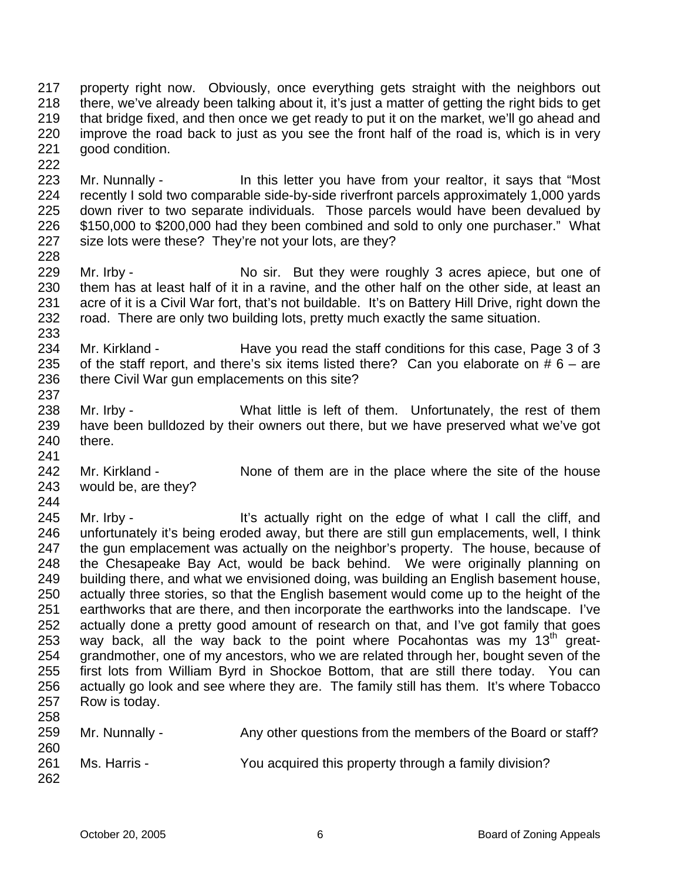217 218 219 220 221 property right now. Obviously, once everything gets straight with the neighbors out there, we've already been talking about it, it's just a matter of getting the right bids to get that bridge fixed, and then once we get ready to put it on the market, we'll go ahead and improve the road back to just as you see the front half of the road is, which is in very good condition.

223 224 225 226 227 228 Mr. Nunnally - The state of this letter you have from your realtor, it says that "Most recently I sold two comparable side-by-side riverfront parcels approximately 1,000 yards down river to two separate individuals. Those parcels would have been devalued by \$150,000 to \$200,000 had they been combined and sold to only one purchaser." What size lots were these? They're not your lots, are they?

229 230 231 232 Mr. Irby - No sir. But they were roughly 3 acres apiece, but one of them has at least half of it in a ravine, and the other half on the other side, at least an acre of it is a Civil War fort, that's not buildable. It's on Battery Hill Drive, right down the road. There are only two building lots, pretty much exactly the same situation.

- 234 235 236 Mr. Kirkland - Have you read the staff conditions for this case, Page 3 of 3 of the staff report, and there's six items listed there? Can you elaborate on  $# 6 -$  are there Civil War gun emplacements on this site?
- 238 239 240 241 Mr. Irby - What little is left of them. Unfortunately, the rest of them have been bulldozed by their owners out there, but we have preserved what we've got there.
- 242 243 Mr. Kirkland - None of them are in the place where the site of the house would be, are they?

244

222

233

237

245 246 247 248 249 250 251 252 253 254 255 256 257 258 Mr. Irby - The sactually right on the edge of what I call the cliff, and unfortunately it's being eroded away, but there are still gun emplacements, well, I think the gun emplacement was actually on the neighbor's property. The house, because of the Chesapeake Bay Act, would be back behind. We were originally planning on building there, and what we envisioned doing, was building an English basement house, actually three stories, so that the English basement would come up to the height of the earthworks that are there, and then incorporate the earthworks into the landscape. I've actually done a pretty good amount of research on that, and I've got family that goes way back, all the way back to the point where Pocahontas was my  $13<sup>th</sup>$  greatgrandmother, one of my ancestors, who we are related through her, bought seven of the first lots from William Byrd in Shockoe Bottom, that are still there today. You can actually go look and see where they are. The family still has them. It's where Tobacco Row is today.

| LUU |                |                                                             |
|-----|----------------|-------------------------------------------------------------|
| 259 | Mr. Nunnally - | Any other questions from the members of the Board or staff? |
| 260 |                |                                                             |
| 261 | Ms. Harris -   | You acquired this property through a family division?       |
| 262 |                |                                                             |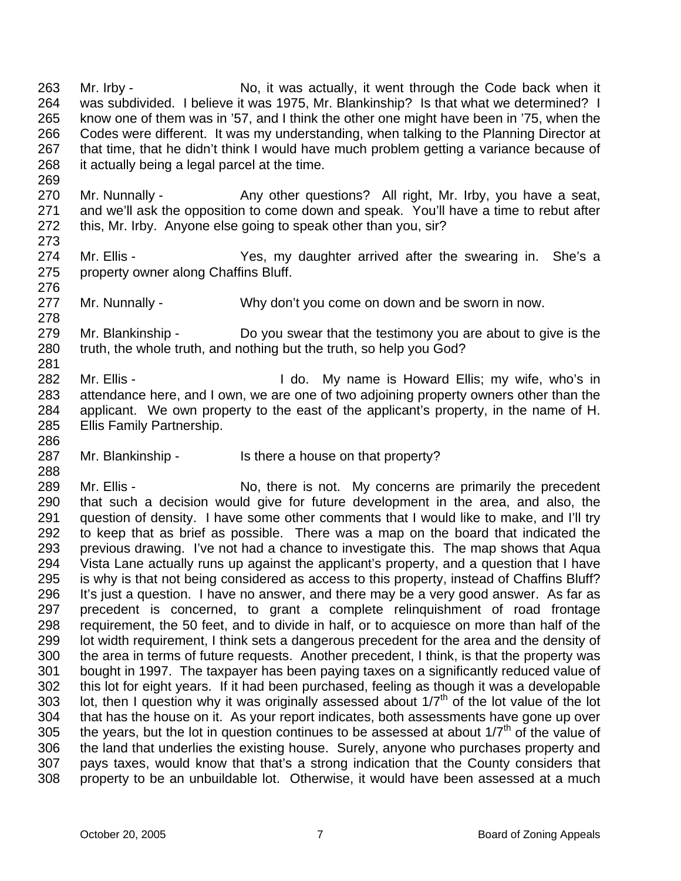263 264 265 266 267 268 Mr. Irby - No, it was actually, it went through the Code back when it was subdivided. I believe it was 1975, Mr. Blankinship? Is that what we determined? I know one of them was in '57, and I think the other one might have been in '75, when the Codes were different. It was my understanding, when talking to the Planning Director at that time, that he didn't think I would have much problem getting a variance because of it actually being a legal parcel at the time.

270 271 272 Mr. Nunnally - Any other questions? All right, Mr. Irby, you have a seat, and we'll ask the opposition to come down and speak. You'll have a time to rebut after this, Mr. Irby. Anyone else going to speak other than you, sir?

- 274 275 Mr. Ellis - The Yes, my daughter arrived after the swearing in. She's a property owner along Chaffins Bluff.
- 277 Mr. Nunnally - Why don't you come on down and be sworn in now.

279 280 Mr. Blankinship - Do you swear that the testimony you are about to give is the truth, the whole truth, and nothing but the truth, so help you God?

- 282 283 284 285 286 Mr. Ellis - The Mull do. My name is Howard Ellis; my wife, who's in attendance here, and I own, we are one of two adjoining property owners other than the applicant. We own property to the east of the applicant's property, in the name of H. Ellis Family Partnership.
- 287 Mr. Blankinship - Is there a house on that property?

289 290 291 292 293 294 295 296 297 298 299 300 301 302 303 304 305 306 307 308 Mr. Ellis - No, there is not. My concerns are primarily the precedent that such a decision would give for future development in the area, and also, the question of density. I have some other comments that I would like to make, and I'll try to keep that as brief as possible. There was a map on the board that indicated the previous drawing. I've not had a chance to investigate this. The map shows that Aqua Vista Lane actually runs up against the applicant's property, and a question that I have is why is that not being considered as access to this property, instead of Chaffins Bluff? It's just a question. I have no answer, and there may be a very good answer. As far as precedent is concerned, to grant a complete relinquishment of road frontage requirement, the 50 feet, and to divide in half, or to acquiesce on more than half of the lot width requirement, I think sets a dangerous precedent for the area and the density of the area in terms of future requests. Another precedent, I think, is that the property was bought in 1997. The taxpayer has been paying taxes on a significantly reduced value of this lot for eight years. If it had been purchased, feeling as though it was a developable lot, then I question why it was originally assessed about  $1/7<sup>th</sup>$  of the lot value of the lot that has the house on it. As your report indicates, both assessments have gone up over the years, but the lot in question continues to be assessed at about  $1/7<sup>th</sup>$  of the value of the land that underlies the existing house. Surely, anyone who purchases property and pays taxes, would know that that's a strong indication that the County considers that property to be an unbuildable lot. Otherwise, it would have been assessed at a much

269

273

276

278

281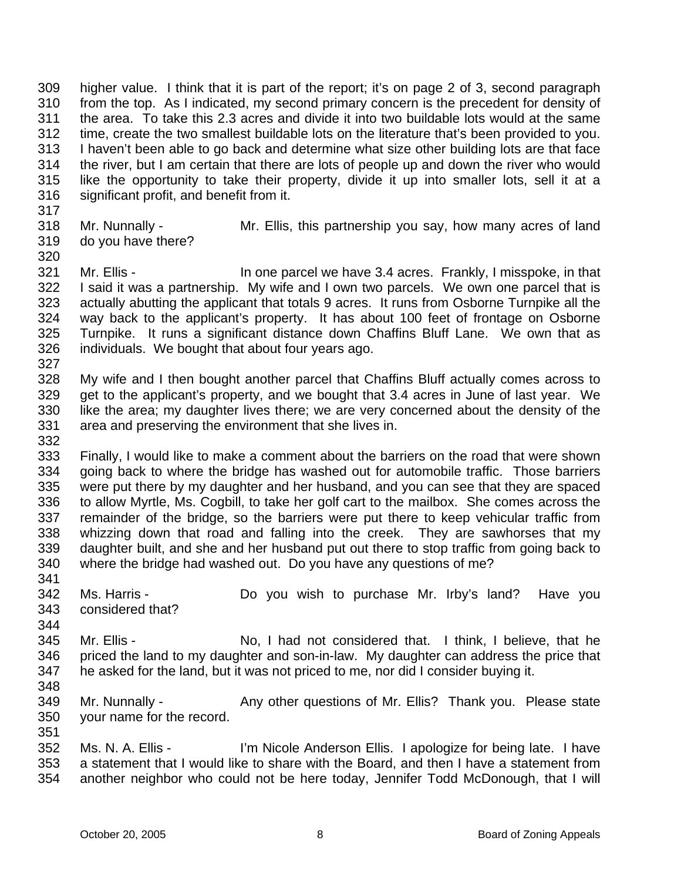309 310 311 312 313 314 315 316 higher value. I think that it is part of the report; it's on page 2 of 3, second paragraph from the top. As I indicated, my second primary concern is the precedent for density of the area. To take this 2.3 acres and divide it into two buildable lots would at the same time, create the two smallest buildable lots on the literature that's been provided to you. I haven't been able to go back and determine what size other building lots are that face the river, but I am certain that there are lots of people up and down the river who would like the opportunity to take their property, divide it up into smaller lots, sell it at a significant profit, and benefit from it.

- 318 319 Mr. Nunnally - Mr. Ellis, this partnership you say, how many acres of land do you have there?
- 321 322 323 324 325 326 327 Mr. Ellis - In one parcel we have 3.4 acres. Frankly, I misspoke, in that I said it was a partnership. My wife and I own two parcels. We own one parcel that is actually abutting the applicant that totals 9 acres. It runs from Osborne Turnpike all the way back to the applicant's property. It has about 100 feet of frontage on Osborne Turnpike. It runs a significant distance down Chaffins Bluff Lane. We own that as individuals. We bought that about four years ago.
- 328 329 330 331 332 My wife and I then bought another parcel that Chaffins Bluff actually comes across to get to the applicant's property, and we bought that 3.4 acres in June of last year. We like the area; my daughter lives there; we are very concerned about the density of the area and preserving the environment that she lives in.
- 333 334 335 336 337 338 339 340 Finally, I would like to make a comment about the barriers on the road that were shown going back to where the bridge has washed out for automobile traffic. Those barriers were put there by my daughter and her husband, and you can see that they are spaced to allow Myrtle, Ms. Cogbill, to take her golf cart to the mailbox. She comes across the remainder of the bridge, so the barriers were put there to keep vehicular traffic from whizzing down that road and falling into the creek. They are sawhorses that my daughter built, and she and her husband put out there to stop traffic from going back to where the bridge had washed out. Do you have any questions of me?
- 342 343 Ms. Harris - The Solid Collection of the purchase Mr. Irby's land? Have you considered that?
- 345 346 347 Mr. Ellis - No, I had not considered that. I think, I believe, that he priced the land to my daughter and son-in-law. My daughter can address the price that he asked for the land, but it was not priced to me, nor did I consider buying it.
- 348

341

344

317

- 349 350 351 Mr. Nunnally - Any other questions of Mr. Ellis? Thank you. Please state your name for the record.
- 352 353 354 Ms. N. A. Ellis - I'm Nicole Anderson Ellis. I apologize for being late. I have a statement that I would like to share with the Board, and then I have a statement from another neighbor who could not be here today, Jennifer Todd McDonough, that I will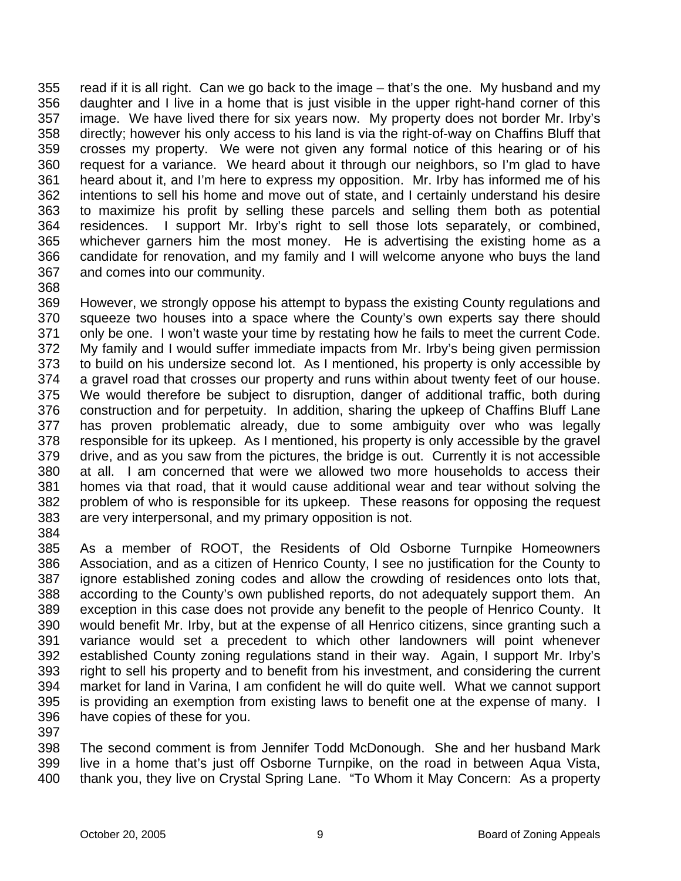355 356 357 358 359 360 361 362 363 364 365 366 367 368 read if it is all right. Can we go back to the image – that's the one. My husband and my daughter and I live in a home that is just visible in the upper right-hand corner of this image. We have lived there for six years now. My property does not border Mr. Irby's directly; however his only access to his land is via the right-of-way on Chaffins Bluff that crosses my property. We were not given any formal notice of this hearing or of his request for a variance. We heard about it through our neighbors, so I'm glad to have heard about it, and I'm here to express my opposition. Mr. Irby has informed me of his intentions to sell his home and move out of state, and I certainly understand his desire to maximize his profit by selling these parcels and selling them both as potential residences. I support Mr. Irby's right to sell those lots separately, or combined, whichever garners him the most money. He is advertising the existing home as a candidate for renovation, and my family and I will welcome anyone who buys the land and comes into our community.

369 370 371 372 373 374 375 376 377 378 379 380 381 382 383 384 However, we strongly oppose his attempt to bypass the existing County regulations and squeeze two houses into a space where the County's own experts say there should only be one. I won't waste your time by restating how he fails to meet the current Code. My family and I would suffer immediate impacts from Mr. Irby's being given permission to build on his undersize second lot. As I mentioned, his property is only accessible by a gravel road that crosses our property and runs within about twenty feet of our house. We would therefore be subject to disruption, danger of additional traffic, both during construction and for perpetuity. In addition, sharing the upkeep of Chaffins Bluff Lane has proven problematic already, due to some ambiguity over who was legally responsible for its upkeep. As I mentioned, his property is only accessible by the gravel drive, and as you saw from the pictures, the bridge is out. Currently it is not accessible at all. I am concerned that were we allowed two more households to access their homes via that road, that it would cause additional wear and tear without solving the problem of who is responsible for its upkeep. These reasons for opposing the request are very interpersonal, and my primary opposition is not.

- 385 386 387 388 389 390 391 392 393 394 395 396 As a member of ROOT, the Residents of Old Osborne Turnpike Homeowners Association, and as a citizen of Henrico County, I see no justification for the County to ignore established zoning codes and allow the crowding of residences onto lots that, according to the County's own published reports, do not adequately support them. An exception in this case does not provide any benefit to the people of Henrico County. It would benefit Mr. Irby, but at the expense of all Henrico citizens, since granting such a variance would set a precedent to which other landowners will point whenever established County zoning regulations stand in their way. Again, I support Mr. Irby's right to sell his property and to benefit from his investment, and considering the current market for land in Varina, I am confident he will do quite well. What we cannot support is providing an exemption from existing laws to benefit one at the expense of many. I have copies of these for you.
- 397

398 399 400 The second comment is from Jennifer Todd McDonough. She and her husband Mark live in a home that's just off Osborne Turnpike, on the road in between Aqua Vista, thank you, they live on Crystal Spring Lane. "To Whom it May Concern: As a property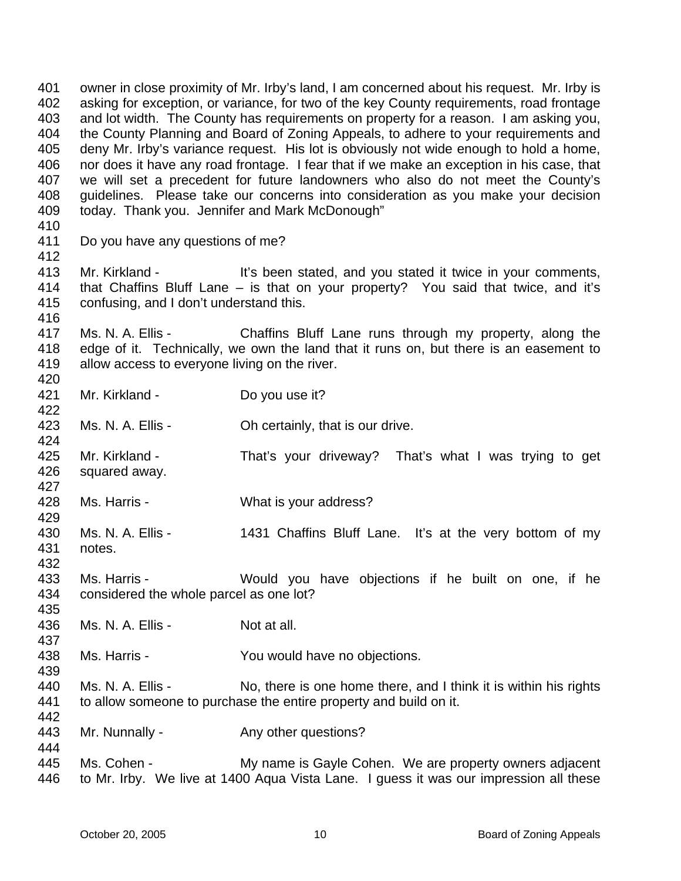401 402 403 404 405 406 407 408 409 410 411 412 413 414 415 416 417 418 419 420 421 422 423 424 425 426 427 428 429 430 431 432 433 434 435 436 437 438 439 440 441 442 443 444 445 446 owner in close proximity of Mr. Irby's land, I am concerned about his request. Mr. Irby is asking for exception, or variance, for two of the key County requirements, road frontage and lot width. The County has requirements on property for a reason. I am asking you, the County Planning and Board of Zoning Appeals, to adhere to your requirements and deny Mr. Irby's variance request. His lot is obviously not wide enough to hold a home, nor does it have any road frontage. I fear that if we make an exception in his case, that we will set a precedent for future landowners who also do not meet the County's guidelines. Please take our concerns into consideration as you make your decision today. Thank you. Jennifer and Mark McDonough" Do you have any questions of me? Mr. Kirkland - It's been stated, and you stated it twice in your comments, that Chaffins Bluff Lane – is that on your property? You said that twice, and it's confusing, and I don't understand this. Ms. N. A. Ellis - Chaffins Bluff Lane runs through my property, along the edge of it. Technically, we own the land that it runs on, but there is an easement to allow access to everyone living on the river. Mr. Kirkland - Do you use it? Ms. N. A. Ellis - Oh certainly, that is our drive. Mr. Kirkland - That's your driveway? That's what I was trying to get squared away. Ms. Harris - What is your address? Ms. N. A. Ellis - 1431 Chaffins Bluff Lane. It's at the very bottom of my notes. Ms. Harris - Would you have objections if he built on one, if he considered the whole parcel as one lot? Ms. N. A. Ellis - Not at all. Ms. Harris - The You would have no objections. Ms. N. A. Ellis - No, there is one home there, and I think it is within his rights to allow someone to purchase the entire property and build on it. Mr. Nunnally - Any other questions? Ms. Cohen - My name is Gayle Cohen. We are property owners adjacent to Mr. Irby. We live at 1400 Aqua Vista Lane. I guess it was our impression all these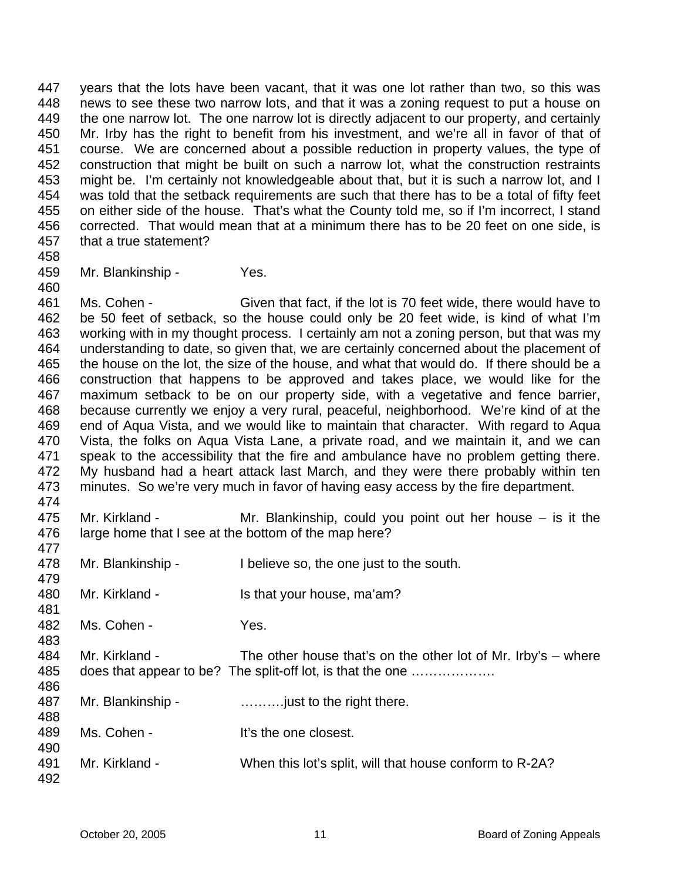447 448 449 450 451 452 453 454 455 456 457 years that the lots have been vacant, that it was one lot rather than two, so this was news to see these two narrow lots, and that it was a zoning request to put a house on the one narrow lot. The one narrow lot is directly adjacent to our property, and certainly Mr. Irby has the right to benefit from his investment, and we're all in favor of that of course. We are concerned about a possible reduction in property values, the type of construction that might be built on such a narrow lot, what the construction restraints might be. I'm certainly not knowledgeable about that, but it is such a narrow lot, and I was told that the setback requirements are such that there has to be a total of fifty feet on either side of the house. That's what the County told me, so if I'm incorrect, I stand corrected. That would mean that at a minimum there has to be 20 feet on one side, is that a true statement?

458 459

460

477

Mr. Blankinship - Yes.

461 462 463 464 465 466 467 468 469 470 471 472 473 474 Ms. Cohen - Given that fact, if the lot is 70 feet wide, there would have to be 50 feet of setback, so the house could only be 20 feet wide, is kind of what I'm working with in my thought process. I certainly am not a zoning person, but that was my understanding to date, so given that, we are certainly concerned about the placement of the house on the lot, the size of the house, and what that would do. If there should be a construction that happens to be approved and takes place, we would like for the maximum setback to be on our property side, with a vegetative and fence barrier, because currently we enjoy a very rural, peaceful, neighborhood. We're kind of at the end of Aqua Vista, and we would like to maintain that character. With regard to Aqua Vista, the folks on Aqua Vista Lane, a private road, and we maintain it, and we can speak to the accessibility that the fire and ambulance have no problem getting there. My husband had a heart attack last March, and they were there probably within ten minutes. So we're very much in favor of having easy access by the fire department.

- 475 476 Mr. Kirkland - The Mr. Blankinship, could you point out her house – is it the large home that I see at the bottom of the map here?
- 478 479 480 481 482 483 484 485 486 487 488 489 490 Mr. Blankinship - I believe so, the one just to the south. Mr. Kirkland - Is that your house, ma'am? Ms. Cohen - Yes. Mr. Kirkland - The other house that's on the other lot of Mr. Irby's – where does that appear to be? The split-off lot, is that the one ………………. Mr. Blankinship - ……….just to the right there. Ms. Cohen - The Music Cohen - The Music Cohen - The Music It's the one closest.
- 491 492 Mr. Kirkland - When this lot's split, will that house conform to R-2A?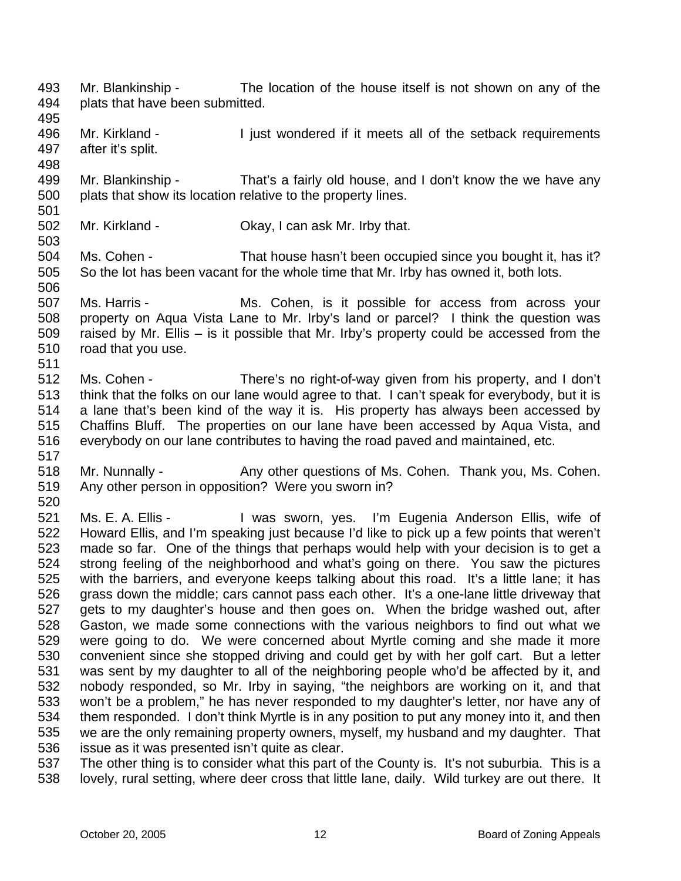- 493 494 495 Mr. Blankinship - The location of the house itself is not shown on any of the plats that have been submitted.
- 496 497 Mr. Kirkland - I just wondered if it meets all of the setback requirements after it's split.
- 499 500 501 Mr. Blankinship - That's a fairly old house, and I don't know the we have any plats that show its location relative to the property lines.
- 502 Mr. Kirkland - Ckay, I can ask Mr. Irby that.
- 504 505 506 Ms. Cohen - That house hasn't been occupied since you bought it, has it? So the lot has been vacant for the whole time that Mr. Irby has owned it, both lots.
- 507 508 509 510 511 Ms. Harris - Ms. Cohen, is it possible for access from across your property on Aqua Vista Lane to Mr. Irby's land or parcel? I think the question was raised by Mr. Ellis – is it possible that Mr. Irby's property could be accessed from the road that you use.
- 512 513 514 515 516 517 Ms. Cohen - There's no right-of-way given from his property, and I don't think that the folks on our lane would agree to that. I can't speak for everybody, but it is a lane that's been kind of the way it is. His property has always been accessed by Chaffins Bluff. The properties on our lane have been accessed by Aqua Vista, and everybody on our lane contributes to having the road paved and maintained, etc.
- 518 519 Mr. Nunnally - Any other questions of Ms. Cohen. Thank you, Ms. Cohen. Any other person in opposition? Were you sworn in?
- 520

498

503

521 522 523 524 525 526 527 528 529 530 531 532 533 534 535 536 Ms. E. A. Ellis - I was sworn, yes. I'm Eugenia Anderson Ellis, wife of Howard Ellis, and I'm speaking just because I'd like to pick up a few points that weren't made so far. One of the things that perhaps would help with your decision is to get a strong feeling of the neighborhood and what's going on there. You saw the pictures with the barriers, and everyone keeps talking about this road. It's a little lane; it has grass down the middle; cars cannot pass each other. It's a one-lane little driveway that gets to my daughter's house and then goes on. When the bridge washed out, after Gaston, we made some connections with the various neighbors to find out what we were going to do. We were concerned about Myrtle coming and she made it more convenient since she stopped driving and could get by with her golf cart. But a letter was sent by my daughter to all of the neighboring people who'd be affected by it, and nobody responded, so Mr. Irby in saying, "the neighbors are working on it, and that won't be a problem," he has never responded to my daughter's letter, nor have any of them responded. I don't think Myrtle is in any position to put any money into it, and then we are the only remaining property owners, myself, my husband and my daughter. That issue as it was presented isn't quite as clear.

537 538 The other thing is to consider what this part of the County is. It's not suburbia. This is a lovely, rural setting, where deer cross that little lane, daily. Wild turkey are out there. It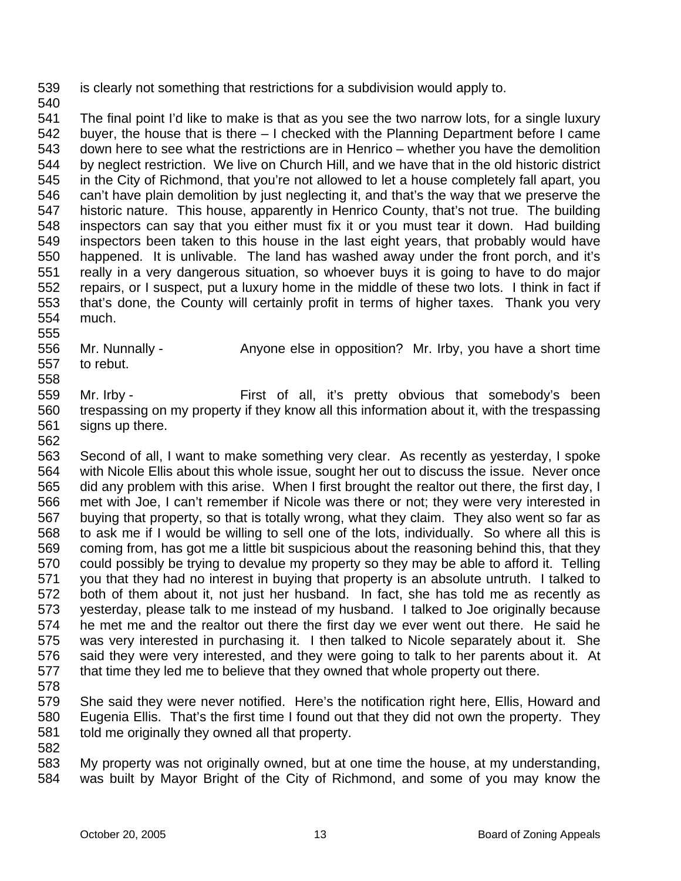539 is clearly not something that restrictions for a subdivision would apply to.

540

555

558

541 542 543 544 545 546 547 548 549 550 551 552 553 554 The final point I'd like to make is that as you see the two narrow lots, for a single luxury buyer, the house that is there – I checked with the Planning Department before I came down here to see what the restrictions are in Henrico – whether you have the demolition by neglect restriction. We live on Church Hill, and we have that in the old historic district in the City of Richmond, that you're not allowed to let a house completely fall apart, you can't have plain demolition by just neglecting it, and that's the way that we preserve the historic nature. This house, apparently in Henrico County, that's not true. The building inspectors can say that you either must fix it or you must tear it down. Had building inspectors been taken to this house in the last eight years, that probably would have happened. It is unlivable. The land has washed away under the front porch, and it's really in a very dangerous situation, so whoever buys it is going to have to do major repairs, or I suspect, put a luxury home in the middle of these two lots. I think in fact if that's done, the County will certainly profit in terms of higher taxes. Thank you very much.

556 557 Mr. Nunnally - Anyone else in opposition? Mr. Irby, you have a short time to rebut.

559 560 561 562 Mr. Irby - The First of all, it's pretty obvious that somebody's been trespassing on my property if they know all this information about it, with the trespassing signs up there.

563 564 565 566 567 568 569 570 571 572 573 574 575 576 577 Second of all, I want to make something very clear. As recently as yesterday, I spoke with Nicole Ellis about this whole issue, sought her out to discuss the issue. Never once did any problem with this arise. When I first brought the realtor out there, the first day, I met with Joe, I can't remember if Nicole was there or not; they were very interested in buying that property, so that is totally wrong, what they claim. They also went so far as to ask me if I would be willing to sell one of the lots, individually. So where all this is coming from, has got me a little bit suspicious about the reasoning behind this, that they could possibly be trying to devalue my property so they may be able to afford it. Telling you that they had no interest in buying that property is an absolute untruth. I talked to both of them about it, not just her husband. In fact, she has told me as recently as yesterday, please talk to me instead of my husband. I talked to Joe originally because he met me and the realtor out there the first day we ever went out there. He said he was very interested in purchasing it. I then talked to Nicole separately about it. She said they were very interested, and they were going to talk to her parents about it. At that time they led me to believe that they owned that whole property out there.

578

579 580 581 She said they were never notified. Here's the notification right here, Ellis, Howard and Eugenia Ellis. That's the first time I found out that they did not own the property. They told me originally they owned all that property.

582

583 584 My property was not originally owned, but at one time the house, at my understanding, was built by Mayor Bright of the City of Richmond, and some of you may know the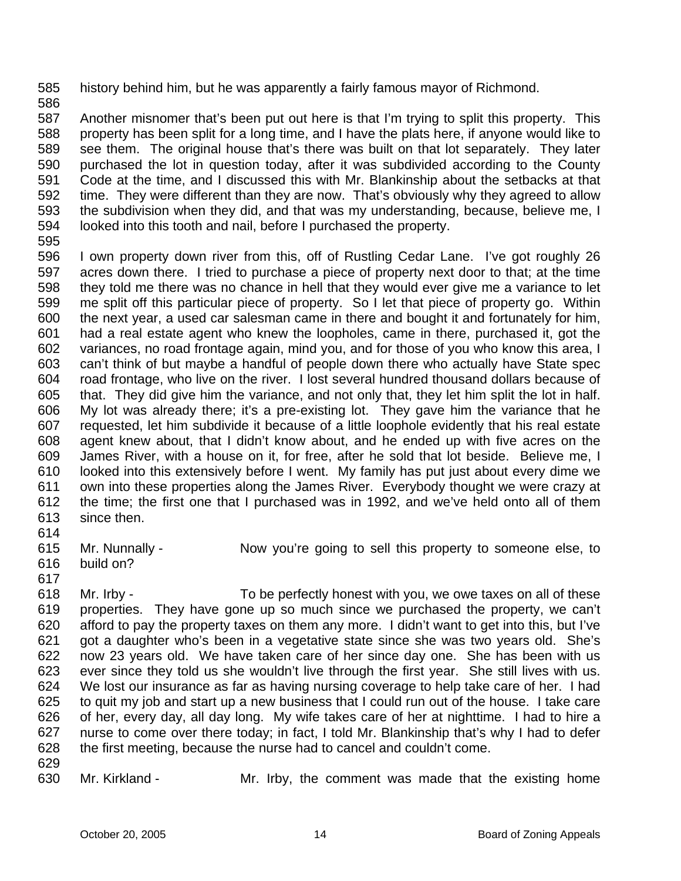585 history behind him, but he was apparently a fairly famous mayor of Richmond.

586

587 588 589 590 591 592 593 594 Another misnomer that's been put out here is that I'm trying to split this property. This property has been split for a long time, and I have the plats here, if anyone would like to see them. The original house that's there was built on that lot separately. They later purchased the lot in question today, after it was subdivided according to the County Code at the time, and I discussed this with Mr. Blankinship about the setbacks at that time. They were different than they are now. That's obviously why they agreed to allow the subdivision when they did, and that was my understanding, because, believe me, I looked into this tooth and nail, before I purchased the property.

595

596 597 598 599 600 601 602 603 604 605 606 607 608 609 610 611 612 613 I own property down river from this, off of Rustling Cedar Lane. I've got roughly 26 acres down there. I tried to purchase a piece of property next door to that; at the time they told me there was no chance in hell that they would ever give me a variance to let me split off this particular piece of property. So I let that piece of property go. Within the next year, a used car salesman came in there and bought it and fortunately for him, had a real estate agent who knew the loopholes, came in there, purchased it, got the variances, no road frontage again, mind you, and for those of you who know this area, I can't think of but maybe a handful of people down there who actually have State spec road frontage, who live on the river. I lost several hundred thousand dollars because of that. They did give him the variance, and not only that, they let him split the lot in half. My lot was already there; it's a pre-existing lot. They gave him the variance that he requested, let him subdivide it because of a little loophole evidently that his real estate agent knew about, that I didn't know about, and he ended up with five acres on the James River, with a house on it, for free, after he sold that lot beside. Believe me, I looked into this extensively before I went. My family has put just about every dime we own into these properties along the James River. Everybody thought we were crazy at the time; the first one that I purchased was in 1992, and we've held onto all of them since then.

614

615 616 Mr. Nunnally - Now you're going to sell this property to someone else, to build on?

617

618 619 620 621 622 623 624 625 626 627 628 Mr. Irby - To be perfectly honest with you, we owe taxes on all of these properties. They have gone up so much since we purchased the property, we can't afford to pay the property taxes on them any more. I didn't want to get into this, but I've got a daughter who's been in a vegetative state since she was two years old. She's now 23 years old. We have taken care of her since day one. She has been with us ever since they told us she wouldn't live through the first year. She still lives with us. We lost our insurance as far as having nursing coverage to help take care of her. I had to quit my job and start up a new business that I could run out of the house. I take care of her, every day, all day long. My wife takes care of her at nighttime. I had to hire a nurse to come over there today; in fact, I told Mr. Blankinship that's why I had to defer the first meeting, because the nurse had to cancel and couldn't come.

629

630 Mr. Kirkland - Mr. Irby, the comment was made that the existing home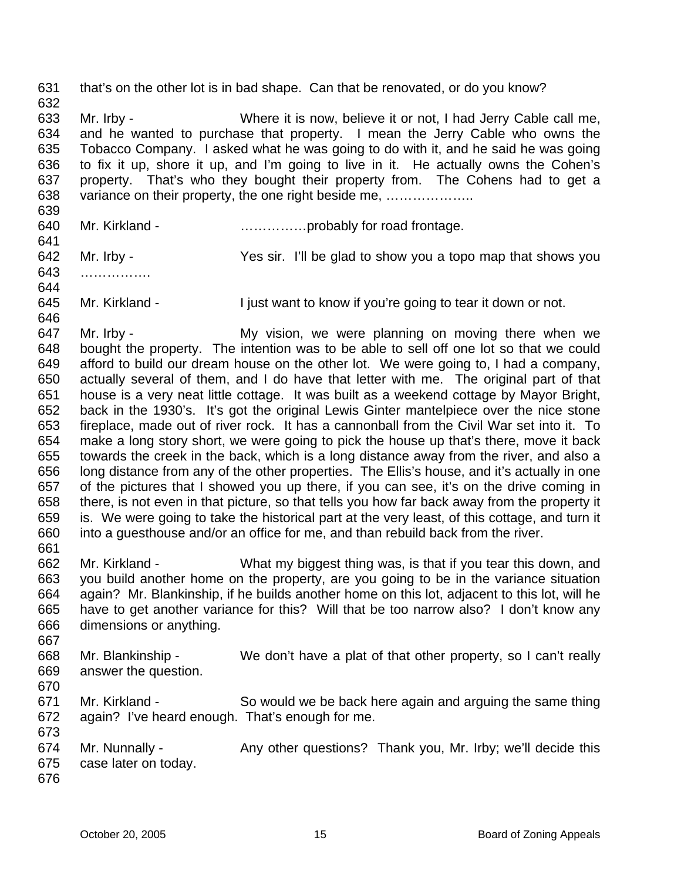631 632 633 634 635 636 637 638 639 640 641 642 643 644 645 646 647 648 649 650 651 652 653 654 655 656 657 658 659 660 661 662 663 664 665 666 667 668 669 670 671 672 673 674 675 676 that's on the other lot is in bad shape. Can that be renovated, or do you know? Mr. Irby - Where it is now, believe it or not, I had Jerry Cable call me, and he wanted to purchase that property. I mean the Jerry Cable who owns the Tobacco Company. I asked what he was going to do with it, and he said he was going to fix it up, shore it up, and I'm going to live in it. He actually owns the Cohen's property. That's who they bought their property from. The Cohens had to get a variance on their property, the one right beside me, ........................... Mr. Kirkland - ……………probably for road frontage. Mr. Irby - Yes sir. I'll be glad to show you a topo map that shows you ……………… Mr. Kirkland - I just want to know if you're going to tear it down or not. Mr. Irby - My vision, we were planning on moving there when we bought the property. The intention was to be able to sell off one lot so that we could afford to build our dream house on the other lot. We were going to, I had a company, actually several of them, and I do have that letter with me. The original part of that house is a very neat little cottage. It was built as a weekend cottage by Mayor Bright, back in the 1930's. It's got the original Lewis Ginter mantelpiece over the nice stone fireplace, made out of river rock. It has a cannonball from the Civil War set into it. To make a long story short, we were going to pick the house up that's there, move it back towards the creek in the back, which is a long distance away from the river, and also a long distance from any of the other properties. The Ellis's house, and it's actually in one of the pictures that I showed you up there, if you can see, it's on the drive coming in there, is not even in that picture, so that tells you how far back away from the property it is. We were going to take the historical part at the very least, of this cottage, and turn it into a guesthouse and/or an office for me, and than rebuild back from the river. Mr. Kirkland - What my biggest thing was, is that if you tear this down, and you build another home on the property, are you going to be in the variance situation again? Mr. Blankinship, if he builds another home on this lot, adjacent to this lot, will he have to get another variance for this? Will that be too narrow also? I don't know any dimensions or anything. Mr. Blankinship - We don't have a plat of that other property, so I can't really answer the question. Mr. Kirkland - So would we be back here again and arguing the same thing again? I've heard enough. That's enough for me. Mr. Nunnally - Any other questions? Thank you, Mr. Irby; we'll decide this case later on today.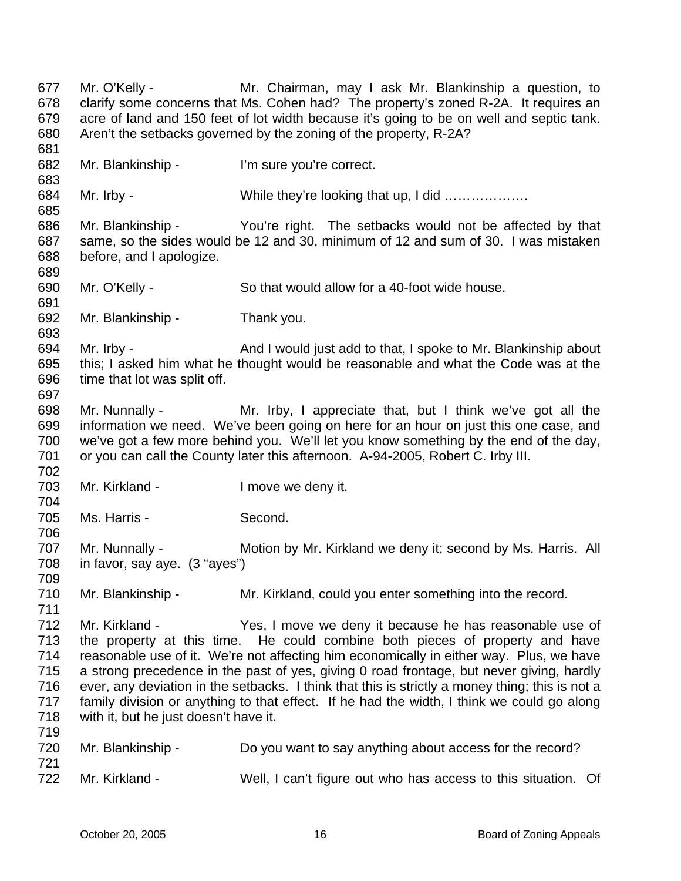677 678 679 680 681 682 683 684 685 686 687 688 689 690 691 692 693 694 695 696 697 698 699 700 701 702 703 704 705 706 707 708 709 710 711 712 713 714 715 716 717 718 719 720 721 722 Mr. O'Kelly - Mr. Chairman, may I ask Mr. Blankinship a question, to clarify some concerns that Ms. Cohen had? The property's zoned R-2A. It requires an acre of land and 150 feet of lot width because it's going to be on well and septic tank. Aren't the setbacks governed by the zoning of the property, R-2A? Mr. Blankinship - I'm sure you're correct. Mr. Irby - While they're looking that up, I did ……………… Mr. Blankinship - You're right. The setbacks would not be affected by that same, so the sides would be 12 and 30, minimum of 12 and sum of 30. I was mistaken before, and I apologize. Mr. O'Kelly - So that would allow for a 40-foot wide house. Mr. Blankinship - Thank you. Mr. Irby - And I would just add to that, I spoke to Mr. Blankinship about this; I asked him what he thought would be reasonable and what the Code was at the time that lot was split off. Mr. Nunnally - Mr. Irby, I appreciate that, but I think we've got all the information we need. We've been going on here for an hour on just this one case, and we've got a few more behind you. We'll let you know something by the end of the day, or you can call the County later this afternoon. A-94-2005, Robert C. Irby III. Mr. Kirkland - The Music Controller I move we deny it. Ms. Harris - Second. Mr. Nunnally - Motion by Mr. Kirkland we deny it; second by Ms. Harris. All in favor, say aye. (3 "ayes") Mr. Blankinship - Mr. Kirkland, could you enter something into the record. Mr. Kirkland - Yes, I move we deny it because he has reasonable use of the property at this time. He could combine both pieces of property and have reasonable use of it. We're not affecting him economically in either way. Plus, we have a strong precedence in the past of yes, giving 0 road frontage, but never giving, hardly ever, any deviation in the setbacks. I think that this is strictly a money thing; this is not a family division or anything to that effect. If he had the width, I think we could go along with it, but he just doesn't have it. Mr. Blankinship - Do you want to say anything about access for the record? Mr. Kirkland - Well, I can't figure out who has access to this situation. Of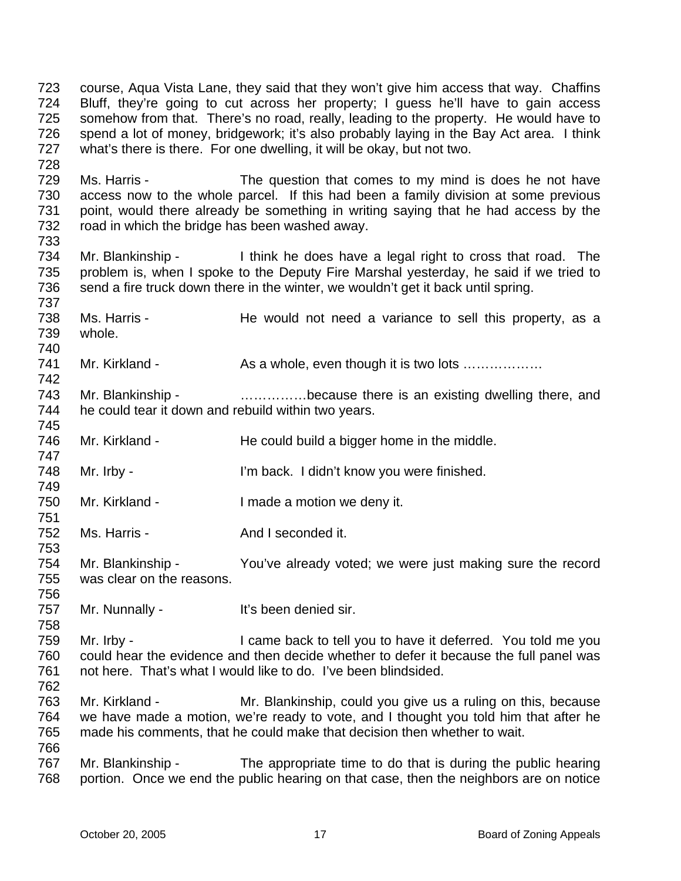723 724 725 726 727 728 course, Aqua Vista Lane, they said that they won't give him access that way. Chaffins Bluff, they're going to cut across her property; I guess he'll have to gain access somehow from that. There's no road, really, leading to the property. He would have to spend a lot of money, bridgework; it's also probably laying in the Bay Act area. I think what's there is there. For one dwelling, it will be okay, but not two.

729 730 731 732 733 Ms. Harris - The question that comes to my mind is does he not have access now to the whole parcel. If this had been a family division at some previous point, would there already be something in writing saying that he had access by the road in which the bridge has been washed away.

734 735 736 Mr. Blankinship - I think he does have a legal right to cross that road. The problem is, when I spoke to the Deputy Fire Marshal yesterday, he said if we tried to send a fire truck down there in the winter, we wouldn't get it back until spring.

738 739 Ms. Harris - The would not need a variance to sell this property, as a whole.

741 742 Mr. Kirkland - As a whole, even though it is two lots ………………

743 744 Mr. Blankinship - ......................because there is an existing dwelling there, and he could tear it down and rebuild within two years.

746 Mr. Kirkland - He could build a bigger home in the middle.

748 Mr. Irby - I'm back. I didn't know you were finished.

750 Mr. Kirkland - I made a motion we deny it.

752 Ms. Harris - The And I seconded it.

754 755 756 Mr. Blankinship - You've already voted; we were just making sure the record was clear on the reasons.

757 Mr. Nunnally - The Muslim School and Mr. Nunnally - The Muslim It's been denied sir.

759 760 761 762 Mr. Irby - I came back to tell you to have it deferred. You told me you could hear the evidence and then decide whether to defer it because the full panel was not here. That's what I would like to do. I've been blindsided.

763 764 765 766 Mr. Kirkland - Mr. Blankinship, could you give us a ruling on this, because we have made a motion, we're ready to vote, and I thought you told him that after he made his comments, that he could make that decision then whether to wait.

767 768 Mr. Blankinship - The appropriate time to do that is during the public hearing portion. Once we end the public hearing on that case, then the neighbors are on notice

737

740

745

747

749

751

753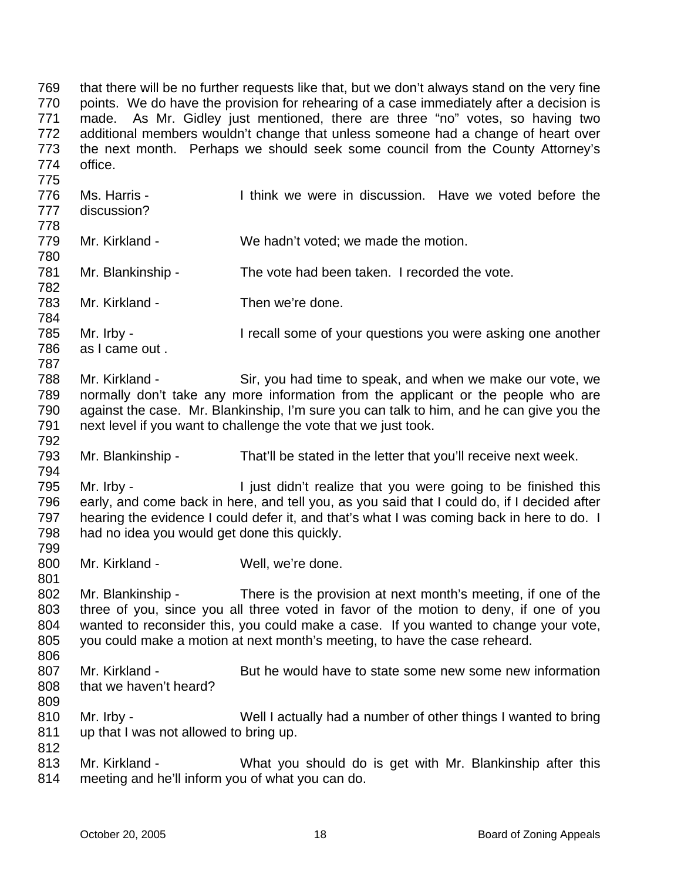769 770 771 772 773 774 775 that there will be no further requests like that, but we don't always stand on the very fine points. We do have the provision for rehearing of a case immediately after a decision is made. As Mr. Gidley just mentioned, there are three "no" votes, so having two additional members wouldn't change that unless someone had a change of heart over the next month. Perhaps we should seek some council from the County Attorney's office.

776 777 778 779 780 781 782 783 784 785 786 787 788 789 790 791 792 793 794 795 796 797 798 799 800 801 802 803 804 805 806 807 808 809 810 811 812 813 814 Ms. Harris - Think we were in discussion. Have we voted before the discussion? Mr. Kirkland - We hadn't voted; we made the motion. Mr. Blankinship - The vote had been taken. I recorded the vote. Mr. Kirkland - Then we're done. Mr. Irby - I recall some of your questions you were asking one another as I came out . Mr. Kirkland - Sir, you had time to speak, and when we make our vote, we normally don't take any more information from the applicant or the people who are against the case. Mr. Blankinship, I'm sure you can talk to him, and he can give you the next level if you want to challenge the vote that we just took. Mr. Blankinship - That'll be stated in the letter that you'll receive next week. Mr. Irby - The South Communist Liquid is a light of the light of the lines of the Inished this early, and come back in here, and tell you, as you said that I could do, if I decided after hearing the evidence I could defer it, and that's what I was coming back in here to do. I had no idea you would get done this quickly. Mr. Kirkland - Well, we're done. Mr. Blankinship - There is the provision at next month's meeting, if one of the three of you, since you all three voted in favor of the motion to deny, if one of you wanted to reconsider this, you could make a case. If you wanted to change your vote, you could make a motion at next month's meeting, to have the case reheard. Mr. Kirkland - But he would have to state some new some new information that we haven't heard? Mr. Irby - Well I actually had a number of other things I wanted to bring up that I was not allowed to bring up. Mr. Kirkland - What you should do is get with Mr. Blankinship after this meeting and he'll inform you of what you can do.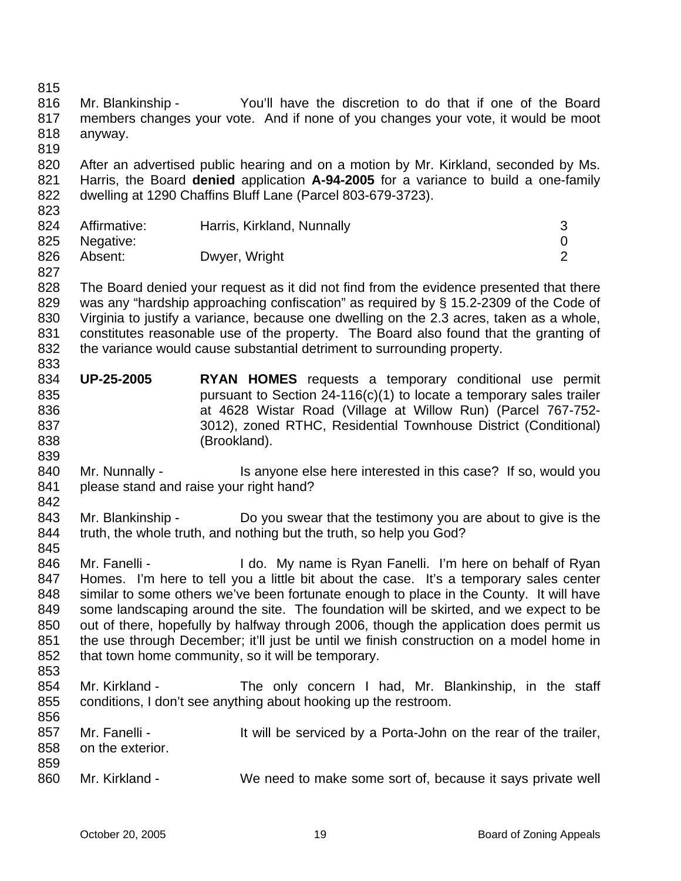815 816 817 818 819 820 821 822 823 824 825 826 827 828 829 830 831 832 833 834 835 836 837 838 839 840 841 842 843 844 845 846 847 848 849 850 851 852 853 854 855 856 857 858 859 860 Mr. Blankinship - You'll have the discretion to do that if one of the Board members changes your vote. And if none of you changes your vote, it would be moot anyway. After an advertised public hearing and on a motion by Mr. Kirkland, seconded by Ms. Harris, the Board **denied** application **A-94-2005** for a variance to build a one-family dwelling at 1290 Chaffins Bluff Lane (Parcel 803-679-3723). Affirmative: Harris, Kirkland, Nunnally 3 Negative: 0 Absent: Dwyer, Wright 2 The Board denied your request as it did not find from the evidence presented that there was any "hardship approaching confiscation" as required by § 15.2-2309 of the Code of Virginia to justify a variance, because one dwelling on the 2.3 acres, taken as a whole, constitutes reasonable use of the property. The Board also found that the granting of the variance would cause substantial detriment to surrounding property. **UP-25-2005 RYAN HOMES** requests a temporary conditional use permit pursuant to Section 24-116(c)(1) to locate a temporary sales trailer at 4628 Wistar Road (Village at Willow Run) (Parcel 767-752- 3012), zoned RTHC, Residential Townhouse District (Conditional) (Brookland). Mr. Nunnally - Is anyone else here interested in this case? If so, would you please stand and raise your right hand? Mr. Blankinship - Do you swear that the testimony you are about to give is the truth, the whole truth, and nothing but the truth, so help you God? Mr. Fanelli - The I do. My name is Ryan Fanelli. I'm here on behalf of Ryan Homes. I'm here to tell you a little bit about the case. It's a temporary sales center similar to some others we've been fortunate enough to place in the County. It will have some landscaping around the site. The foundation will be skirted, and we expect to be out of there, hopefully by halfway through 2006, though the application does permit us the use through December; it'll just be until we finish construction on a model home in that town home community, so it will be temporary. Mr. Kirkland - The only concern I had, Mr. Blankinship, in the staff conditions, I don't see anything about hooking up the restroom. Mr. Fanelli - It will be serviced by a Porta-John on the rear of the trailer, on the exterior. Mr. Kirkland - We need to make some sort of, because it says private well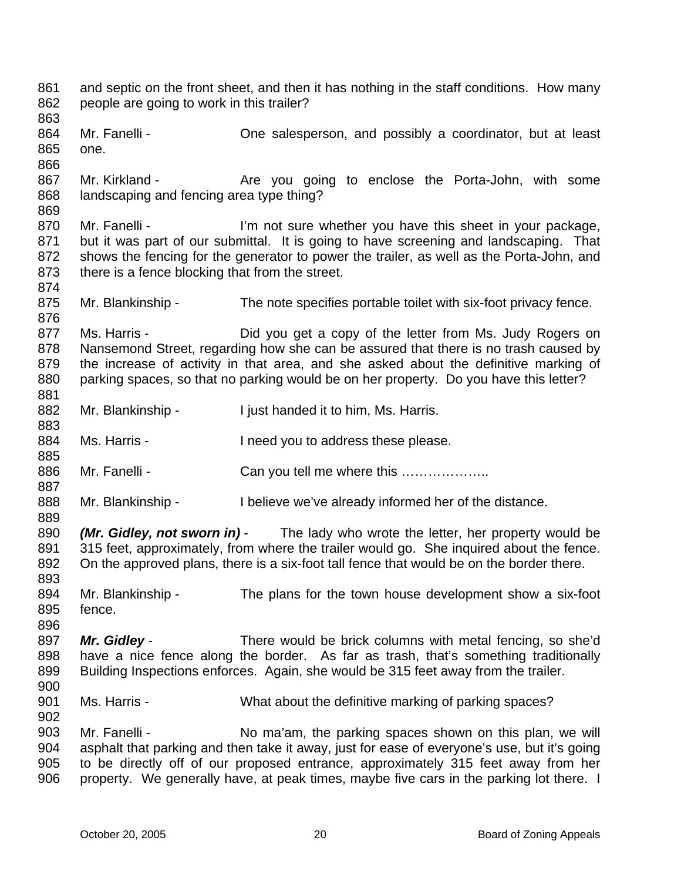861 862 863 864 865 866 867 868 869 870 871 872 873 874 875 876 877 878 879 880 881 882 883 884 885 886 887 888 889 890 891 892 893 894 895 896 897 898 899 900 901 902 903 904 905 906 and septic on the front sheet, and then it has nothing in the staff conditions. How many people are going to work in this trailer? Mr. Fanelli - Che salesperson, and possibly a coordinator, but at least one. Mr. Kirkland - Are you going to enclose the Porta-John, with some landscaping and fencing area type thing? Mr. Fanelli - I'm not sure whether you have this sheet in your package, but it was part of our submittal. It is going to have screening and landscaping. That shows the fencing for the generator to power the trailer, as well as the Porta-John, and there is a fence blocking that from the street. Mr. Blankinship - The note specifies portable toilet with six-foot privacy fence. Ms. Harris - Did you get a copy of the letter from Ms. Judy Rogers on Nansemond Street, regarding how she can be assured that there is no trash caused by the increase of activity in that area, and she asked about the definitive marking of parking spaces, so that no parking would be on her property. Do you have this letter? Mr. Blankinship - I just handed it to him, Ms. Harris. Ms. Harris - These Vou to address these please. Mr. Fanelli - Can you tell me where this ……………….. Mr. Blankinship - I believe we've already informed her of the distance. *(Mr. Gidley, not sworn in)* - The lady who wrote the letter, her property would be 315 feet, approximately, from where the trailer would go. She inquired about the fence. On the approved plans, there is a six-foot tall fence that would be on the border there. Mr. Blankinship - The plans for the town house development show a six-foot fence. **Mr. Gidley** - There would be brick columns with metal fencing, so she'd have a nice fence along the border. As far as trash, that's something traditionally Building Inspections enforces. Again, she would be 315 feet away from the trailer. Ms. Harris - What about the definitive marking of parking spaces? Mr. Fanelli - No ma'am, the parking spaces shown on this plan, we will asphalt that parking and then take it away, just for ease of everyone's use, but it's going to be directly off of our proposed entrance, approximately 315 feet away from her property. We generally have, at peak times, maybe five cars in the parking lot there. I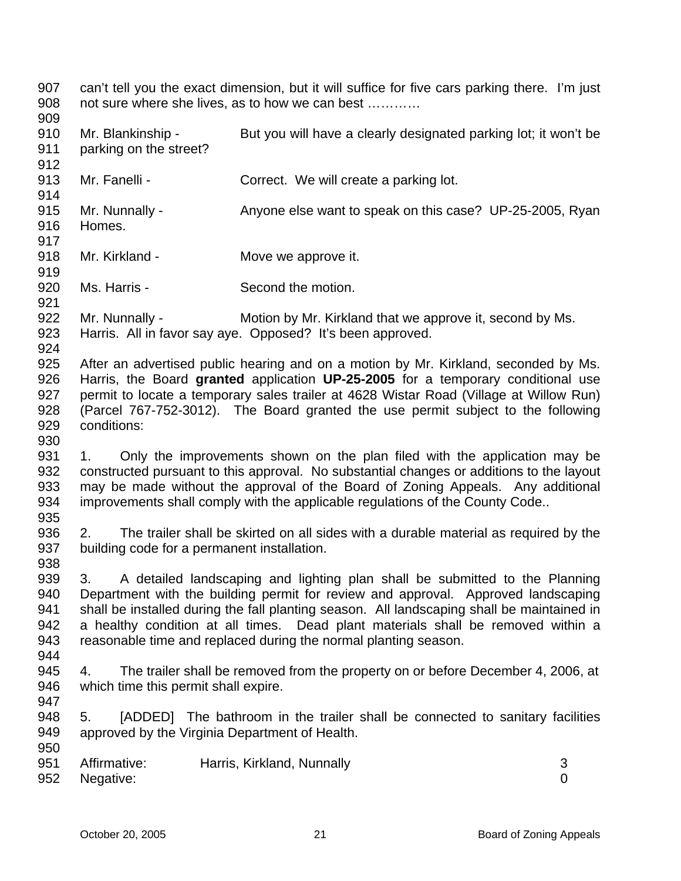907 908 can't tell you the exact dimension, but it will suffice for five cars parking there. I'm just not sure where she lives, as to how we can best …………

909

912

917

919

921

910 911 Mr. Blankinship - But you will have a clearly designated parking lot; it won't be parking on the street?

- 913 Mr. Fanelli - Correct. We will create a parking lot.
- 914 915 916 Mr. Nunnally - Anyone else want to speak on this case? UP-25-2005, Ryan Homes.
- 918 Mr. Kirkland - **Move we approve it.**
- 920 Ms. Harris - Second the motion.
- 922 923 Mr. Nunnally - Motion by Mr. Kirkland that we approve it, second by Ms. Harris. All in favor say aye. Opposed? It's been approved.
- 924
- 925 926 927 928 929 930 After an advertised public hearing and on a motion by Mr. Kirkland, seconded by Ms. Harris, the Board **granted** application **UP-25-2005** for a temporary conditional use permit to locate a temporary sales trailer at 4628 Wistar Road (Village at Willow Run) (Parcel 767-752-3012). The Board granted the use permit subject to the following conditions:
- 931 932 933 934 935 1. Only the improvements shown on the plan filed with the application may be constructed pursuant to this approval. No substantial changes or additions to the layout may be made without the approval of the Board of Zoning Appeals. Any additional improvements shall comply with the applicable regulations of the County Code..
- 936 937 938 2. The trailer shall be skirted on all sides with a durable material as required by the building code for a permanent installation.
- 939 940 941 942 943 3. A detailed landscaping and lighting plan shall be submitted to the Planning Department with the building permit for review and approval. Approved landscaping shall be installed during the fall planting season. All landscaping shall be maintained in a healthy condition at all times. Dead plant materials shall be removed within a reasonable time and replaced during the normal planting season.
- 944

- 945 946 4. The trailer shall be removed from the property on or before December 4, 2006, at which time this permit shall expire.
- 948 949 950 5. [ADDED] The bathroom in the trailer shall be connected to sanitary facilities approved by the Virginia Department of Health.

| 951 Affirmative: | Harris, Kirkland, Nunnally |  |
|------------------|----------------------------|--|
| 952 Negative:    |                            |  |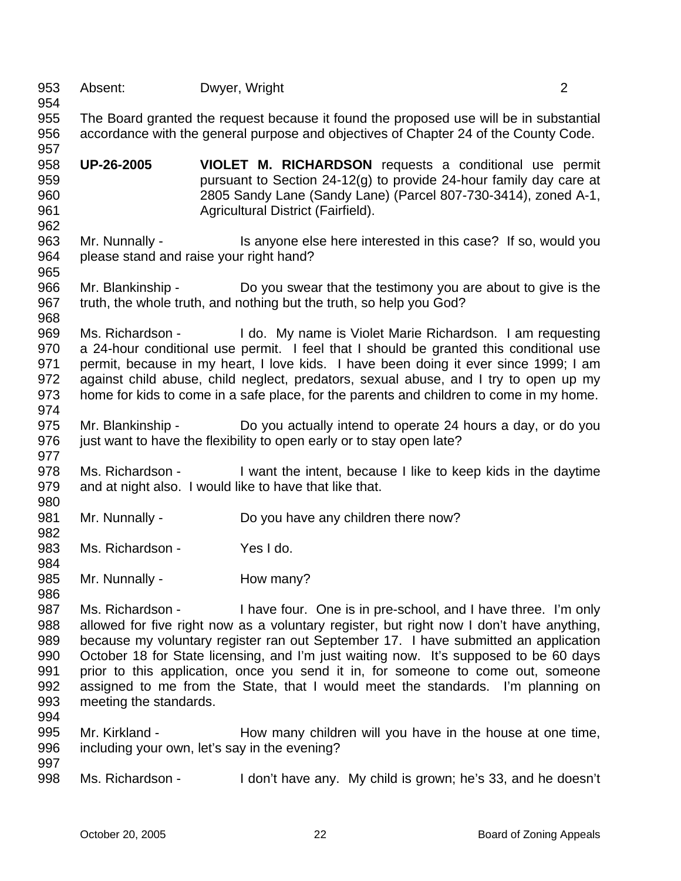| 953<br>954                                           | Absent:                                                                                                                    | Dwyer, Wright                                                                                                                                                                                                                                                                                                                                                                                                                                                                                                    | $\overline{2}$ |  |
|------------------------------------------------------|----------------------------------------------------------------------------------------------------------------------------|------------------------------------------------------------------------------------------------------------------------------------------------------------------------------------------------------------------------------------------------------------------------------------------------------------------------------------------------------------------------------------------------------------------------------------------------------------------------------------------------------------------|----------------|--|
| 955<br>956<br>957                                    |                                                                                                                            | The Board granted the request because it found the proposed use will be in substantial<br>accordance with the general purpose and objectives of Chapter 24 of the County Code.                                                                                                                                                                                                                                                                                                                                   |                |  |
| 958<br>959<br>960<br>961<br>962                      | <b>UP-26-2005</b>                                                                                                          | VIOLET M. RICHARDSON requests a conditional use permit<br>pursuant to Section 24-12(g) to provide 24-hour family day care at<br>2805 Sandy Lane (Sandy Lane) (Parcel 807-730-3414), zoned A-1,<br>Agricultural District (Fairfield).                                                                                                                                                                                                                                                                             |                |  |
| 963<br>964<br>965                                    | Mr. Nunnally -<br>Is anyone else here interested in this case? If so, would you<br>please stand and raise your right hand? |                                                                                                                                                                                                                                                                                                                                                                                                                                                                                                                  |                |  |
| 966<br>967<br>968                                    |                                                                                                                            | Mr. Blankinship - Do you swear that the testimony you are about to give is the<br>truth, the whole truth, and nothing but the truth, so help you God?                                                                                                                                                                                                                                                                                                                                                            |                |  |
| 969<br>970<br>971<br>972<br>973<br>974               |                                                                                                                            | Ms. Richardson - I do. My name is Violet Marie Richardson. I am requesting<br>a 24-hour conditional use permit. I feel that I should be granted this conditional use<br>permit, because in my heart, I love kids. I have been doing it ever since 1999; I am<br>against child abuse, child neglect, predators, sexual abuse, and I try to open up my<br>home for kids to come in a safe place, for the parents and children to come in my home.                                                                  |                |  |
| 975<br>976<br>977                                    |                                                                                                                            | Mr. Blankinship - Do you actually intend to operate 24 hours a day, or do you<br>just want to have the flexibility to open early or to stay open late?                                                                                                                                                                                                                                                                                                                                                           |                |  |
| 978<br>979<br>980                                    | Ms. Richardson -                                                                                                           | I want the intent, because I like to keep kids in the daytime<br>and at night also. I would like to have that like that.                                                                                                                                                                                                                                                                                                                                                                                         |                |  |
| 981<br>982                                           | Mr. Nunnally -                                                                                                             | Do you have any children there now?                                                                                                                                                                                                                                                                                                                                                                                                                                                                              |                |  |
| 983<br>984                                           | Ms. Richardson -                                                                                                           | Yes I do.                                                                                                                                                                                                                                                                                                                                                                                                                                                                                                        |                |  |
| 985<br>986                                           | Mr. Nunnally -                                                                                                             | How many?                                                                                                                                                                                                                                                                                                                                                                                                                                                                                                        |                |  |
| 987<br>988<br>989<br>990<br>991<br>992<br>993<br>994 | Ms. Richardson -<br>meeting the standards.                                                                                 | I have four. One is in pre-school, and I have three. I'm only<br>allowed for five right now as a voluntary register, but right now I don't have anything,<br>because my voluntary register ran out September 17. I have submitted an application<br>October 18 for State licensing, and I'm just waiting now. It's supposed to be 60 days<br>prior to this application, once you send it in, for someone to come out, someone<br>assigned to me from the State, that I would meet the standards. I'm planning on |                |  |
| 995<br>996                                           | Mr. Kirkland -                                                                                                             | How many children will you have in the house at one time,<br>including your own, let's say in the evening?                                                                                                                                                                                                                                                                                                                                                                                                       |                |  |
| 997<br>998                                           | Ms. Richardson -                                                                                                           | I don't have any. My child is grown; he's 33, and he doesn't                                                                                                                                                                                                                                                                                                                                                                                                                                                     |                |  |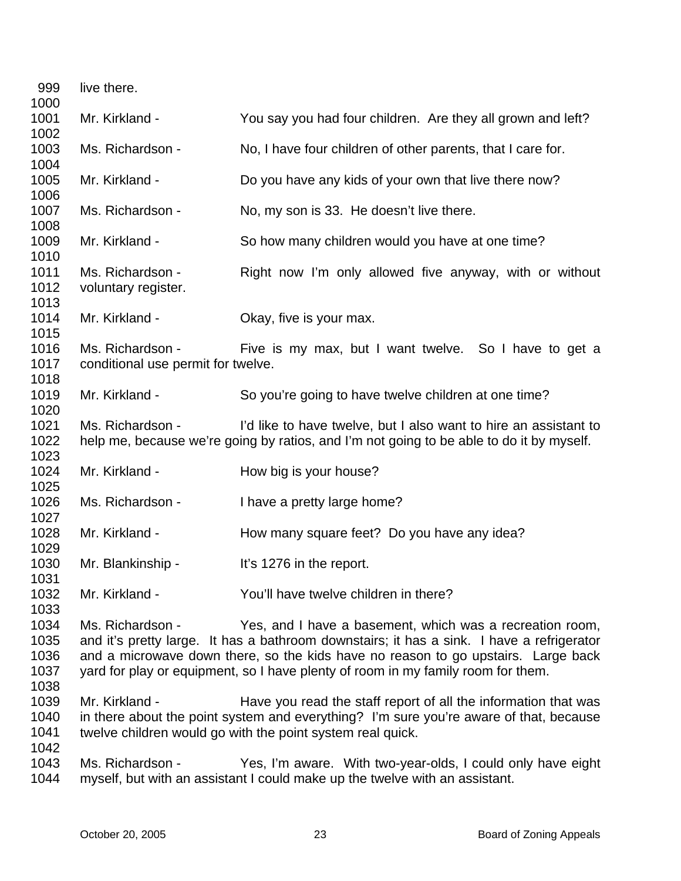| 999  | live there.                                                                            |                                                                                           |
|------|----------------------------------------------------------------------------------------|-------------------------------------------------------------------------------------------|
| 1000 |                                                                                        |                                                                                           |
| 1001 | Mr. Kirkland -                                                                         | You say you had four children. Are they all grown and left?                               |
| 1002 |                                                                                        |                                                                                           |
| 1003 | Ms. Richardson -                                                                       | No, I have four children of other parents, that I care for.                               |
| 1004 |                                                                                        |                                                                                           |
| 1005 | Mr. Kirkland -                                                                         | Do you have any kids of your own that live there now?                                     |
| 1006 |                                                                                        |                                                                                           |
| 1007 | Ms. Richardson -                                                                       | No, my son is 33. He doesn't live there.                                                  |
| 1008 |                                                                                        |                                                                                           |
| 1009 | Mr. Kirkland -                                                                         | So how many children would you have at one time?                                          |
| 1010 |                                                                                        |                                                                                           |
| 1011 | Ms. Richardson -                                                                       | Right now I'm only allowed five anyway, with or without                                   |
| 1012 | voluntary register.                                                                    |                                                                                           |
| 1013 |                                                                                        |                                                                                           |
| 1014 | Mr. Kirkland -                                                                         | Okay, five is your max.                                                                   |
| 1015 |                                                                                        |                                                                                           |
| 1016 | Ms. Richardson -                                                                       | Five is my max, but I want twelve. So I have to get a                                     |
| 1017 | conditional use permit for twelve.                                                     |                                                                                           |
| 1018 |                                                                                        |                                                                                           |
| 1019 | Mr. Kirkland -                                                                         | So you're going to have twelve children at one time?                                      |
| 1020 |                                                                                        |                                                                                           |
| 1021 | Ms. Richardson -                                                                       | I'd like to have twelve, but I also want to hire an assistant to                          |
| 1022 |                                                                                        | help me, because we're going by ratios, and I'm not going to be able to do it by myself.  |
| 1023 |                                                                                        |                                                                                           |
| 1024 | Mr. Kirkland -                                                                         | How big is your house?                                                                    |
| 1025 |                                                                                        |                                                                                           |
| 1026 | Ms. Richardson -                                                                       | I have a pretty large home?                                                               |
| 1027 |                                                                                        |                                                                                           |
| 1028 | Mr. Kirkland -                                                                         | How many square feet? Do you have any idea?                                               |
| 1029 |                                                                                        |                                                                                           |
| 1030 | Mr. Blankinship -                                                                      | It's 1276 in the report.                                                                  |
| 1031 |                                                                                        |                                                                                           |
| 1032 | Mr. Kirkland -                                                                         | You'll have twelve children in there?                                                     |
| 1033 |                                                                                        |                                                                                           |
| 1034 | Ms. Richardson -                                                                       | Yes, and I have a basement, which was a recreation room,                                  |
| 1035 |                                                                                        | and it's pretty large. It has a bathroom downstairs; it has a sink. I have a refrigerator |
| 1036 |                                                                                        | and a microwave down there, so the kids have no reason to go upstairs. Large back         |
| 1037 |                                                                                        | yard for play or equipment, so I have plenty of room in my family room for them.          |
| 1038 |                                                                                        |                                                                                           |
| 1039 | Mr. Kirkland -                                                                         | Have you read the staff report of all the information that was                            |
| 1040 | in there about the point system and everything? I'm sure you're aware of that, because |                                                                                           |
| 1041 |                                                                                        | twelve children would go with the point system real quick.                                |
| 1042 |                                                                                        |                                                                                           |
| 1043 | Ms. Richardson -                                                                       | Yes, I'm aware. With two-year-olds, I could only have eight                               |
| 1044 |                                                                                        | myself, but with an assistant I could make up the twelve with an assistant.               |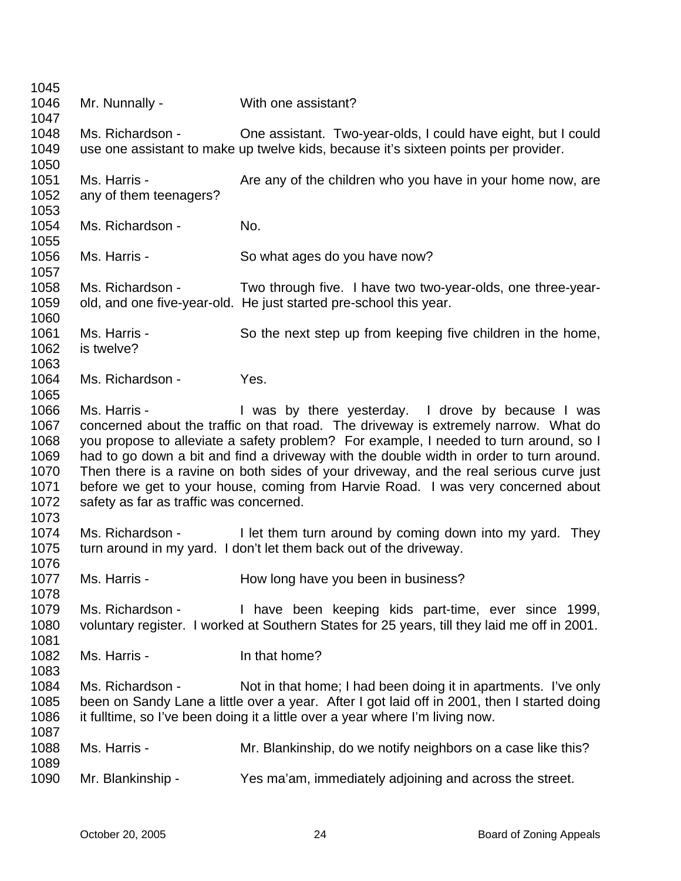1045 1046 1047 1048 1049 1050 1051 1052 1053 1054 1055 1056 1057 1058 1059 1060 1061 1062 1063 1064 1065 1066 1067 1068 1069 1070 1071 1072 1073 1074 1075 1076 1077 1078 1079 1080 1081 1082 1083 1084 1085 1086 1087 1088 1089 1090 Mr. Nunnally - With one assistant? Ms. Richardson - One assistant. Two-year-olds, I could have eight, but I could use one assistant to make up twelve kids, because it's sixteen points per provider. Ms. Harris - The Are any of the children who you have in your home now, are any of them teenagers? Ms. Richardson - No. Ms. Harris - So what ages do you have now? Ms. Richardson - Two through five. I have two two-year-olds, one three-yearold, and one five-year-old. He just started pre-school this year. Ms. Harris - So the next step up from keeping five children in the home, is twelve? Ms. Richardson - Yes. Ms. Harris - The Mas by there yesterday. I drove by because I was concerned about the traffic on that road. The driveway is extremely narrow. What do you propose to alleviate a safety problem? For example, I needed to turn around, so I had to go down a bit and find a driveway with the double width in order to turn around. Then there is a ravine on both sides of your driveway, and the real serious curve just before we get to your house, coming from Harvie Road. I was very concerned about safety as far as traffic was concerned. Ms. Richardson - I let them turn around by coming down into my vard. They turn around in my yard. I don't let them back out of the driveway. Ms. Harris - The How long have you been in business? Ms. Richardson - I have been keeping kids part-time, ever since 1999, voluntary register. I worked at Southern States for 25 years, till they laid me off in 2001. Ms. Harris - The limit hat home? Ms. Richardson - Not in that home; I had been doing it in apartments. I've only been on Sandy Lane a little over a year. After I got laid off in 2001, then I started doing it fulltime, so I've been doing it a little over a year where I'm living now. Ms. Harris - Mr. Blankinship, do we notify neighbors on a case like this? Mr. Blankinship - Yes ma'am, immediately adjoining and across the street.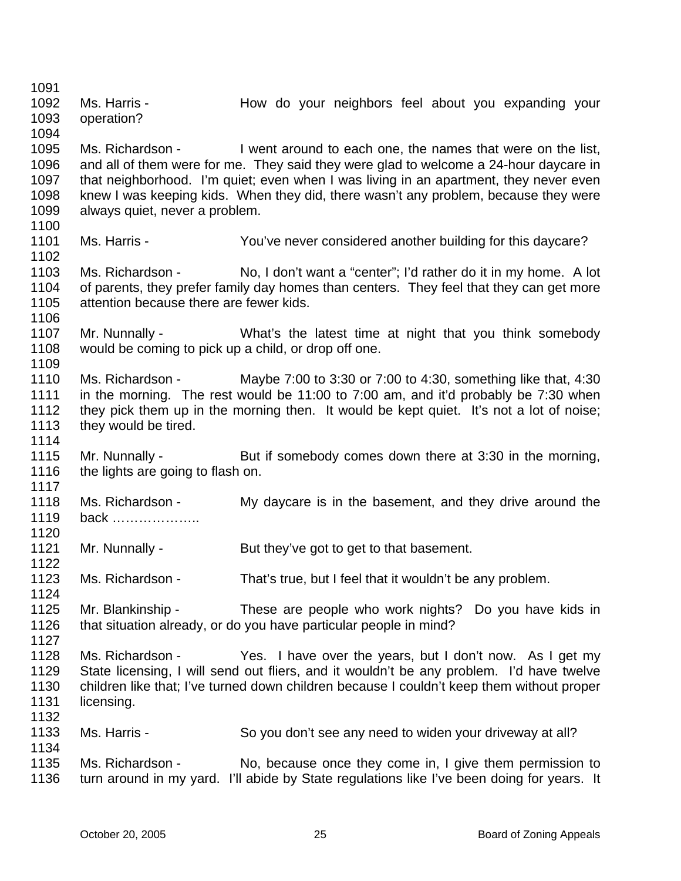1091 1092 1093 1094 1095 1096 1097 1098 1099 1100 1101 1102 1103 1104 1105 1106 1107 1108 1109 1110 1111 1112 1113 1114 1115 1116 1117 1118 1119 1120 1121 1122 1123 1124 1125 1126 1127 1128 1129 1130 1131 1132 1133 1134 1135 1136 Ms. Harris - The How do your neighbors feel about you expanding your operation? Ms. Richardson - I went around to each one, the names that were on the list, and all of them were for me. They said they were glad to welcome a 24-hour daycare in that neighborhood. I'm quiet; even when I was living in an apartment, they never even knew I was keeping kids. When they did, there wasn't any problem, because they were always quiet, never a problem. Ms. Harris - You've never considered another building for this daycare? Ms. Richardson - No, I don't want a "center"; I'd rather do it in my home. A lot of parents, they prefer family day homes than centers. They feel that they can get more attention because there are fewer kids. Mr. Nunnally - What's the latest time at night that you think somebody would be coming to pick up a child, or drop off one. Ms. Richardson - Maybe 7:00 to 3:30 or 7:00 to 4:30, something like that, 4:30 in the morning. The rest would be 11:00 to 7:00 am, and it'd probably be 7:30 when they pick them up in the morning then. It would be kept quiet. It's not a lot of noise; they would be tired. Mr. Nunnally - But if somebody comes down there at 3:30 in the morning, the lights are going to flash on. Ms. Richardson - My daycare is in the basement, and they drive around the back ……………….. Mr. Nunnally - But they've got to get to that basement. Ms. Richardson - That's true, but I feel that it wouldn't be any problem. Mr. Blankinship - These are people who work nights? Do you have kids in that situation already, or do you have particular people in mind? Ms. Richardson - Yes. I have over the years, but I don't now. As I get my State licensing, I will send out fliers, and it wouldn't be any problem. I'd have twelve children like that; I've turned down children because I couldn't keep them without proper licensing. Ms. Harris - So you don't see any need to widen your driveway at all? Ms. Richardson - No, because once they come in, I give them permission to turn around in my yard. I'll abide by State regulations like I've been doing for years. It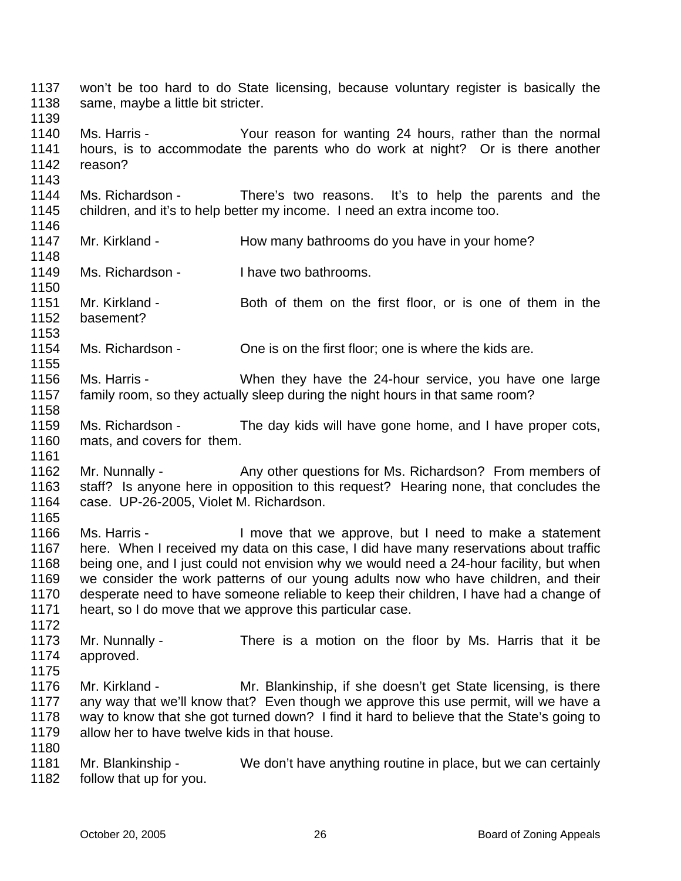1137 1138 1139 1140 1141 1142 1143 1144 1145 1146 1147 1148 1149 1150 1151 1152 1153 1154 1155 1156 1157 1158 1159 1160 1161 1162 1163 1164 1165 1166 1167 1168 1169 1170 1171 1172 1173 1174 1175 1176 1177 1178 1179 1180 1181 1182 won't be too hard to do State licensing, because voluntary register is basically the same, maybe a little bit stricter. Ms. Harris - The Your reason for wanting 24 hours, rather than the normal hours, is to accommodate the parents who do work at night? Or is there another reason? Ms. Richardson - There's two reasons. It's to help the parents and the children, and it's to help better my income. I need an extra income too. Mr. Kirkland - The How many bathrooms do you have in your home? Ms. Richardson - I have two bathrooms. Mr. Kirkland - Both of them on the first floor, or is one of them in the basement? Ms. Richardson - One is on the first floor; one is where the kids are. Ms. Harris - When they have the 24-hour service, you have one large family room, so they actually sleep during the night hours in that same room? Ms. Richardson - The day kids will have gone home, and I have proper cots, mats, and covers for them. Mr. Nunnally - Any other questions for Ms. Richardson? From members of staff? Is anyone here in opposition to this request? Hearing none, that concludes the case. UP-26-2005, Violet M. Richardson. Ms. Harris - The Move that we approve, but I need to make a statement here. When I received my data on this case, I did have many reservations about traffic being one, and I just could not envision why we would need a 24-hour facility, but when we consider the work patterns of our young adults now who have children, and their desperate need to have someone reliable to keep their children, I have had a change of heart, so I do move that we approve this particular case. Mr. Nunnally - There is a motion on the floor by Ms. Harris that it be approved. Mr. Kirkland - The Mr. Blankinship, if she doesn't get State licensing, is there any way that we'll know that? Even though we approve this use permit, will we have a way to know that she got turned down? I find it hard to believe that the State's going to allow her to have twelve kids in that house. Mr. Blankinship - We don't have anything routine in place, but we can certainly follow that up for you.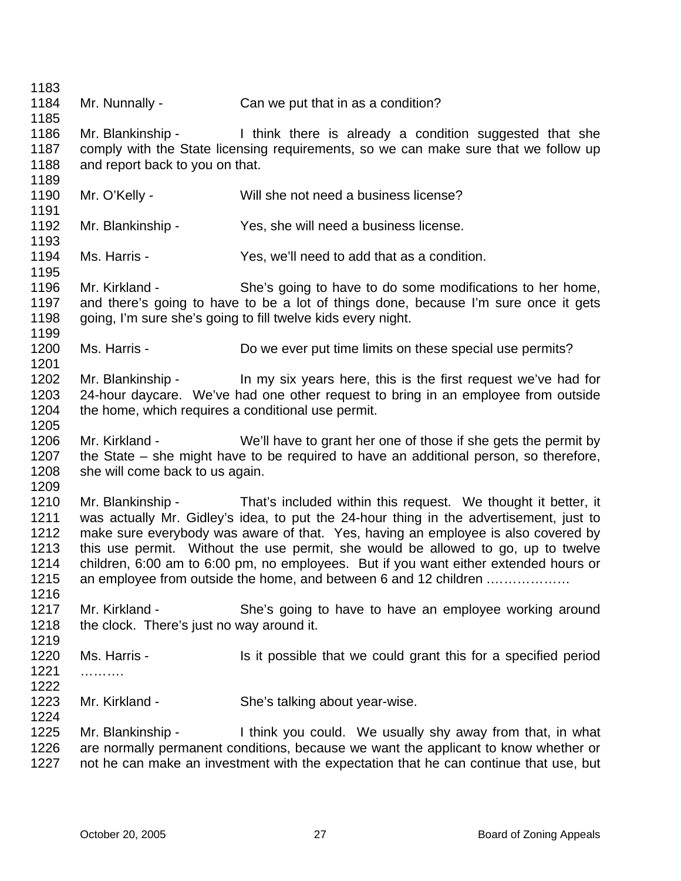1183 1184 1185 1186 1187 1188 1189 1190 1191 1192 1193 1194 1195 1196 1197 1198 1199 1200 1201 1202 1203 1204 1205 1206 1207 1208 1209 1210 1211 1212 1213 1214 1215 1216 1217 1218 1219 1220 1221 1222 1223 1224 1225 1226 1227 Mr. Nunnally - Can we put that in as a condition? Mr. Blankinship - Think there is already a condition suggested that she comply with the State licensing requirements, so we can make sure that we follow up and report back to you on that. Mr. O'Kelly - Will she not need a business license? Mr. Blankinship - Yes, she will need a business license. Ms. Harris - Yes, we'll need to add that as a condition. Mr. Kirkland - She's going to have to do some modifications to her home, and there's going to have to be a lot of things done, because I'm sure once it gets going, I'm sure she's going to fill twelve kids every night. Ms. Harris - Do we ever put time limits on these special use permits? Mr. Blankinship - In my six years here, this is the first request we've had for 24-hour daycare. We've had one other request to bring in an employee from outside the home, which requires a conditional use permit. Mr. Kirkland - We'll have to grant her one of those if she gets the permit by the State – she might have to be required to have an additional person, so therefore, she will come back to us again. Mr. Blankinship - That's included within this request. We thought it better, it was actually Mr. Gidley's idea, to put the 24-hour thing in the advertisement, just to make sure everybody was aware of that. Yes, having an employee is also covered by this use permit. Without the use permit, she would be allowed to go, up to twelve children, 6:00 am to 6:00 pm, no employees. But if you want either extended hours or an employee from outside the home, and between 6 and 12 children .……………… Mr. Kirkland - She's going to have to have an employee working around the clock. There's just no way around it. Ms. Harris - Is it possible that we could grant this for a specified period ………… Mr. Kirkland - She's talking about year-wise. Mr. Blankinship - I think you could. We usually shy away from that, in what are normally permanent conditions, because we want the applicant to know whether or not he can make an investment with the expectation that he can continue that use, but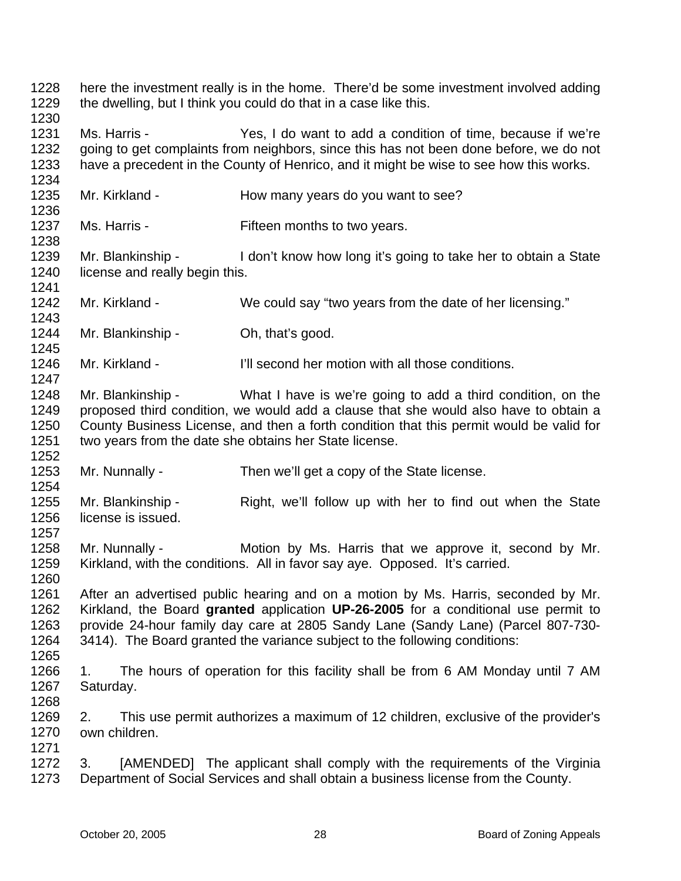1228 1229 1230 1231 1232 1233 1234 1235 1236 1237 1238 1239 1240 1241 1242 1243 1244 1245 1246 1247 1248 1249 1250 1251 1252 1253 1254 1255 1256 1257 1258 1259 1260 1261 1262 1263 1264 1265 1266 1267 1268 1269 1270 1271 1272 1273 here the investment really is in the home. There'd be some investment involved adding the dwelling, but I think you could do that in a case like this. Ms. Harris - Yes, I do want to add a condition of time, because if we're going to get complaints from neighbors, since this has not been done before, we do not have a precedent in the County of Henrico, and it might be wise to see how this works. Mr. Kirkland - The How many years do you want to see? Ms. Harris - Fifteen months to two years. Mr. Blankinship - I don't know how long it's going to take her to obtain a State license and really begin this. Mr. Kirkland - We could say "two years from the date of her licensing." Mr. Blankinship - Oh, that's good. Mr. Kirkland - I'll second her motion with all those conditions. Mr. Blankinship - What I have is we're going to add a third condition, on the proposed third condition, we would add a clause that she would also have to obtain a County Business License, and then a forth condition that this permit would be valid for two years from the date she obtains her State license. Mr. Nunnally - Then we'll get a copy of the State license. Mr. Blankinship - Right, we'll follow up with her to find out when the State license is issued. Mr. Nunnally - **Motion by Ms. Harris that we approve it, second by Mr.** Kirkland, with the conditions. All in favor say aye. Opposed. It's carried. After an advertised public hearing and on a motion by Ms. Harris, seconded by Mr. Kirkland, the Board **granted** application **UP-26-2005** for a conditional use permit to provide 24-hour family day care at 2805 Sandy Lane (Sandy Lane) (Parcel 807-730- 3414). The Board granted the variance subject to the following conditions: 1. The hours of operation for this facility shall be from 6 AM Monday until 7 AM Saturday. 2. This use permit authorizes a maximum of 12 children, exclusive of the provider's own children. 3. [AMENDED] The applicant shall comply with the requirements of the Virginia Department of Social Services and shall obtain a business license from the County.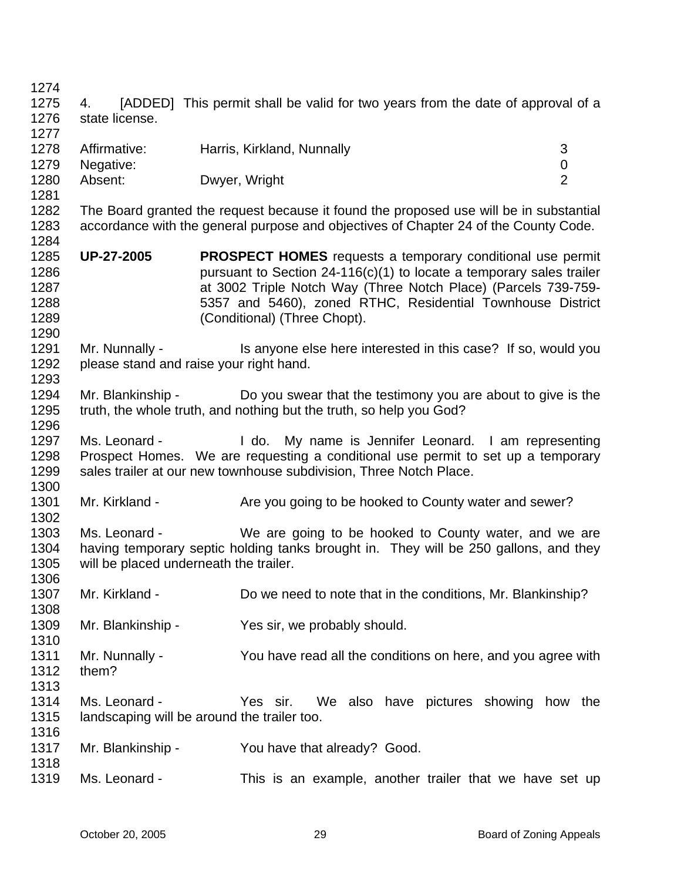| 1274         |                                        |                                                                                                                                          |                  |
|--------------|----------------------------------------|------------------------------------------------------------------------------------------------------------------------------------------|------------------|
| 1275         | 4.                                     | [ADDED] This permit shall be valid for two years from the date of approval of a                                                          |                  |
| 1276<br>1277 | state license.                         |                                                                                                                                          |                  |
| 1278         | Affirmative:                           | Harris, Kirkland, Nunnally                                                                                                               | 3                |
| 1279         | Negative:                              |                                                                                                                                          | $\boldsymbol{0}$ |
| 1280<br>1281 | Absent:                                | Dwyer, Wright                                                                                                                            | $\overline{2}$   |
| 1282         |                                        | The Board granted the request because it found the proposed use will be in substantial                                                   |                  |
| 1283         |                                        | accordance with the general purpose and objectives of Chapter 24 of the County Code.                                                     |                  |
| 1284         |                                        |                                                                                                                                          |                  |
| 1285<br>1286 | <b>UP-27-2005</b>                      | <b>PROSPECT HOMES</b> requests a temporary conditional use permit                                                                        |                  |
| 1287         |                                        | pursuant to Section $24-116(c)(1)$ to locate a temporary sales trailer<br>at 3002 Triple Notch Way (Three Notch Place) (Parcels 739-759- |                  |
| 1288         |                                        | 5357 and 5460), zoned RTHC, Residential Townhouse District                                                                               |                  |
| 1289         |                                        | (Conditional) (Three Chopt).                                                                                                             |                  |
|              |                                        |                                                                                                                                          |                  |
| 1290         |                                        |                                                                                                                                          |                  |
| 1291         | Mr. Nunnally -                         | Is anyone else here interested in this case? If so, would you                                                                            |                  |
| 1292         |                                        | please stand and raise your right hand.                                                                                                  |                  |
| 1293         |                                        |                                                                                                                                          |                  |
| 1294         | Mr. Blankinship -                      | Do you swear that the testimony you are about to give is the                                                                             |                  |
| 1295         |                                        | truth, the whole truth, and nothing but the truth, so help you God?                                                                      |                  |
| 1296         |                                        |                                                                                                                                          |                  |
| 1297         | Ms. Leonard -                          | I do.<br>My name is Jennifer Leonard. I am representing                                                                                  |                  |
| 1298         |                                        | Prospect Homes. We are requesting a conditional use permit to set up a temporary                                                         |                  |
| 1299         |                                        | sales trailer at our new townhouse subdivision, Three Notch Place.                                                                       |                  |
| 1300         |                                        |                                                                                                                                          |                  |
| 1301         | Mr. Kirkland -                         | Are you going to be hooked to County water and sewer?                                                                                    |                  |
| 1302         |                                        |                                                                                                                                          |                  |
| 1303         | Ms. Leonard -                          | We are going to be hooked to County water, and we are                                                                                    |                  |
| 1304         |                                        | having temporary septic holding tanks brought in. They will be 250 gallons, and they                                                     |                  |
| 1305         | will be placed underneath the trailer. |                                                                                                                                          |                  |
| 1306         |                                        |                                                                                                                                          |                  |
| 1307         | Mr. Kirkland -                         | Do we need to note that in the conditions, Mr. Blankinship?                                                                              |                  |
| 1308         |                                        |                                                                                                                                          |                  |
| 1309         | Mr. Blankinship -                      | Yes sir, we probably should.                                                                                                             |                  |
| 1310         |                                        |                                                                                                                                          |                  |
| 1311         | Mr. Nunnally -                         | You have read all the conditions on here, and you agree with                                                                             |                  |
| 1312         | them?                                  |                                                                                                                                          |                  |
| 1313         |                                        |                                                                                                                                          |                  |
| 1314         | Ms. Leonard -                          |                                                                                                                                          |                  |
|              |                                        | We also have pictures showing how the<br>Yes sir.                                                                                        |                  |
| 1315         |                                        | landscaping will be around the trailer too.                                                                                              |                  |
| 1316         |                                        |                                                                                                                                          |                  |
| 1317         | Mr. Blankinship -                      | You have that already? Good.                                                                                                             |                  |
| 1318         |                                        |                                                                                                                                          |                  |
| 1319         | Ms. Leonard -                          | This is an example, another trailer that we have set up                                                                                  |                  |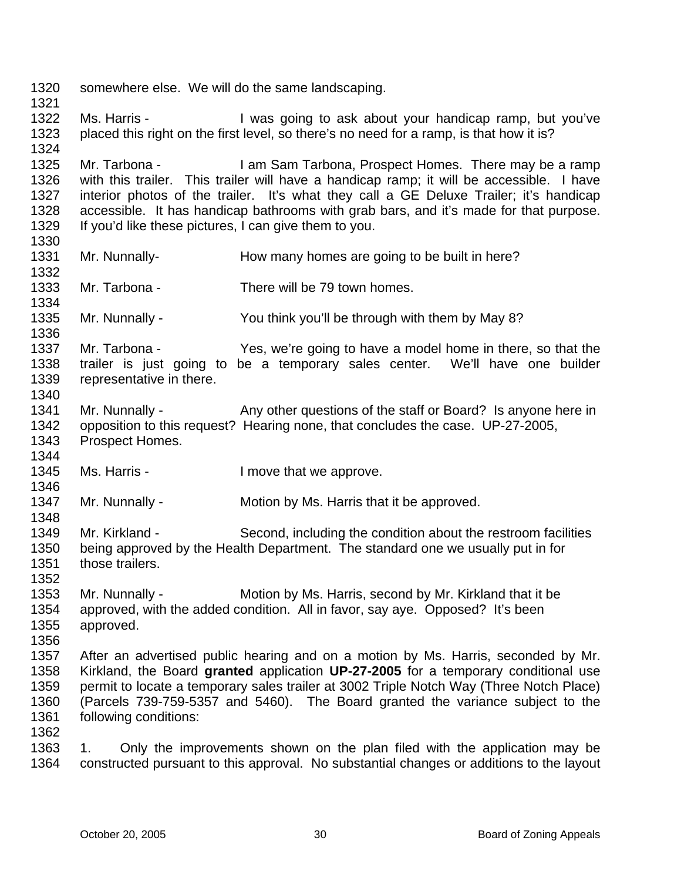| 1320<br>1321 | somewhere else. We will do the same landscaping.                                       |                                                                                                                                             |  |
|--------------|----------------------------------------------------------------------------------------|---------------------------------------------------------------------------------------------------------------------------------------------|--|
| 1322         | Ms. Harris -                                                                           | I was going to ask about your handicap ramp, but you've                                                                                     |  |
| 1323         |                                                                                        | placed this right on the first level, so there's no need for a ramp, is that how it is?                                                     |  |
| 1324         |                                                                                        |                                                                                                                                             |  |
| 1325         | Mr. Tarbona -                                                                          | I am Sam Tarbona, Prospect Homes. There may be a ramp                                                                                       |  |
| 1326         |                                                                                        | with this trailer. This trailer will have a handicap ramp; it will be accessible. I have                                                    |  |
| 1327         | interior photos of the trailer. It's what they call a GE Deluxe Trailer; it's handicap |                                                                                                                                             |  |
| 1328         |                                                                                        | accessible. It has handicap bathrooms with grab bars, and it's made for that purpose.                                                       |  |
| 1329         | If you'd like these pictures, I can give them to you.                                  |                                                                                                                                             |  |
| 1330         |                                                                                        |                                                                                                                                             |  |
| 1331         | Mr. Nunnally-                                                                          | How many homes are going to be built in here?                                                                                               |  |
| 1332         |                                                                                        |                                                                                                                                             |  |
| 1333         | Mr. Tarbona -                                                                          | There will be 79 town homes.                                                                                                                |  |
| 1334         |                                                                                        |                                                                                                                                             |  |
| 1335         | Mr. Nunnally -                                                                         | You think you'll be through with them by May 8?                                                                                             |  |
| 1336         | Mr. Tarbona -                                                                          |                                                                                                                                             |  |
| 1337<br>1338 |                                                                                        | Yes, we're going to have a model home in there, so that the<br>trailer is just going to be a temporary sales center. We'll have one builder |  |
| 1339         | representative in there.                                                               |                                                                                                                                             |  |
| 1340         |                                                                                        |                                                                                                                                             |  |
| 1341         | Mr. Nunnally -                                                                         | Any other questions of the staff or Board? Is anyone here in                                                                                |  |
| 1342         |                                                                                        | opposition to this request? Hearing none, that concludes the case. UP-27-2005,                                                              |  |
| 1343         | Prospect Homes.                                                                        |                                                                                                                                             |  |
| 1344         |                                                                                        |                                                                                                                                             |  |
| 1345         | Ms. Harris -                                                                           | I move that we approve.                                                                                                                     |  |
| 1346         |                                                                                        |                                                                                                                                             |  |
| 1347         | Mr. Nunnally -                                                                         | Motion by Ms. Harris that it be approved.                                                                                                   |  |
| 1348         |                                                                                        |                                                                                                                                             |  |
| 1349         | Mr. Kirkland -                                                                         | Second, including the condition about the restroom facilities                                                                               |  |
| 1350         |                                                                                        | being approved by the Health Department. The standard one we usually put in for                                                             |  |
| 1351         | those trailers.                                                                        |                                                                                                                                             |  |
| 1352         |                                                                                        |                                                                                                                                             |  |
| 1353         | Mr. Nunnally -                                                                         | Motion by Ms. Harris, second by Mr. Kirkland that it be                                                                                     |  |
| 1354         |                                                                                        | approved, with the added condition. All in favor, say aye. Opposed? It's been                                                               |  |
| 1355         | approved.                                                                              |                                                                                                                                             |  |
| 1356         |                                                                                        |                                                                                                                                             |  |
| 1357         |                                                                                        | After an advertised public hearing and on a motion by Ms. Harris, seconded by Mr.                                                           |  |
| 1358         |                                                                                        | Kirkland, the Board granted application UP-27-2005 for a temporary conditional use                                                          |  |
| 1359         |                                                                                        | permit to locate a temporary sales trailer at 3002 Triple Notch Way (Three Notch Place)                                                     |  |
| 1360         |                                                                                        | (Parcels 739-759-5357 and 5460). The Board granted the variance subject to the                                                              |  |
| 1361         | following conditions:                                                                  |                                                                                                                                             |  |
| 1362         |                                                                                        |                                                                                                                                             |  |
| 1363         | 1.                                                                                     | Only the improvements shown on the plan filed with the application may be                                                                   |  |
| 1364         |                                                                                        | constructed pursuant to this approval. No substantial changes or additions to the layout                                                    |  |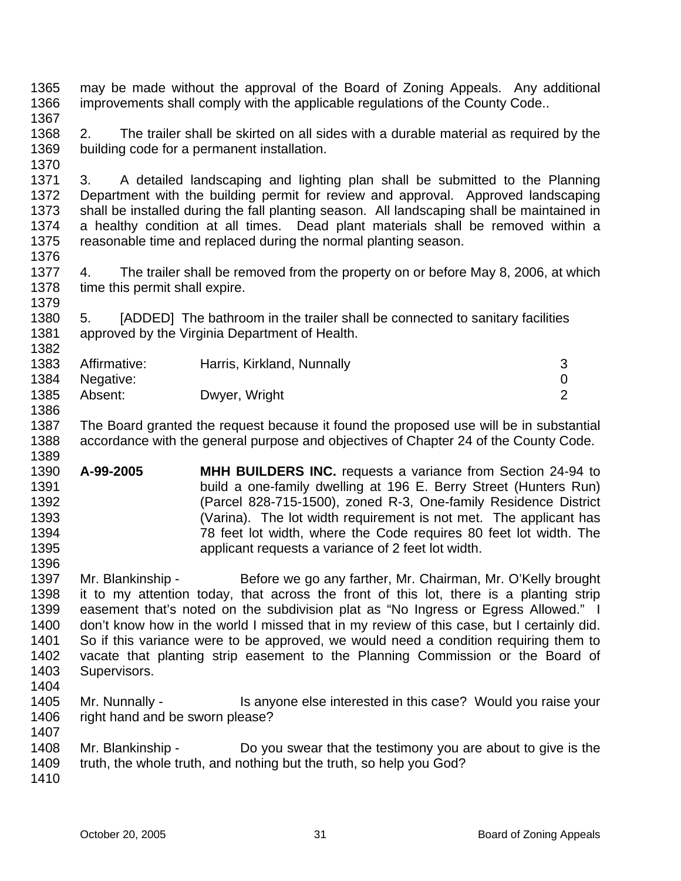- 1365 1366 1367 may be made without the approval of the Board of Zoning Appeals. Any additional improvements shall comply with the applicable regulations of the County Code..
- 1368 1369 2. The trailer shall be skirted on all sides with a durable material as required by the building code for a permanent installation.
- 1371 1372 1373 1374 1375 3. A detailed landscaping and lighting plan shall be submitted to the Planning Department with the building permit for review and approval. Approved landscaping shall be installed during the fall planting season. All landscaping shall be maintained in a healthy condition at all times. Dead plant materials shall be removed within a reasonable time and replaced during the normal planting season.
- 1377 1378 1379 4. The trailer shall be removed from the property on or before May 8, 2006, at which time this permit shall expire.
- 1380 1381 5. [ADDED] The bathroom in the trailer shall be connected to sanitary facilities approved by the Virginia Department of Health.

| 1383 | Affirmative: | Harris, Kirkland, Nunnally |  |
|------|--------------|----------------------------|--|
| 1384 | Negative:    |                            |  |
| 1385 | Absent:      | Dwyer, Wright              |  |
| 1386 |              |                            |  |

- 1387 1388 1389 The Board granted the request because it found the proposed use will be in substantial accordance with the general purpose and objectives of Chapter 24 of the County Code.
- 1390 1391 1392 1393 1394 1395 1396 **A-99-2005 MHH BUILDERS INC.** requests a variance from Section 24-94 to build a one-family dwelling at 196 E. Berry Street (Hunters Run) (Parcel 828-715-1500), zoned R-3, One-family Residence District (Varina). The lot width requirement is not met. The applicant has 78 feet lot width, where the Code requires 80 feet lot width. The applicant requests a variance of 2 feet lot width.
- 1397 1398 1399 1400 1401 1402 1403 Mr. Blankinship - Before we go any farther, Mr. Chairman, Mr. O'Kelly brought it to my attention today, that across the front of this lot, there is a planting strip easement that's noted on the subdivision plat as "No Ingress or Egress Allowed." I don't know how in the world I missed that in my review of this case, but I certainly did. So if this variance were to be approved, we would need a condition requiring them to vacate that planting strip easement to the Planning Commission or the Board of Supervisors.
- 1404

1370

1376

- 1405 1406 1407 Mr. Nunnally - Is anyone else interested in this case? Would you raise your right hand and be sworn please?
- 1408 1409 Mr. Blankinship - Do you swear that the testimony you are about to give is the truth, the whole truth, and nothing but the truth, so help you God?
- 1410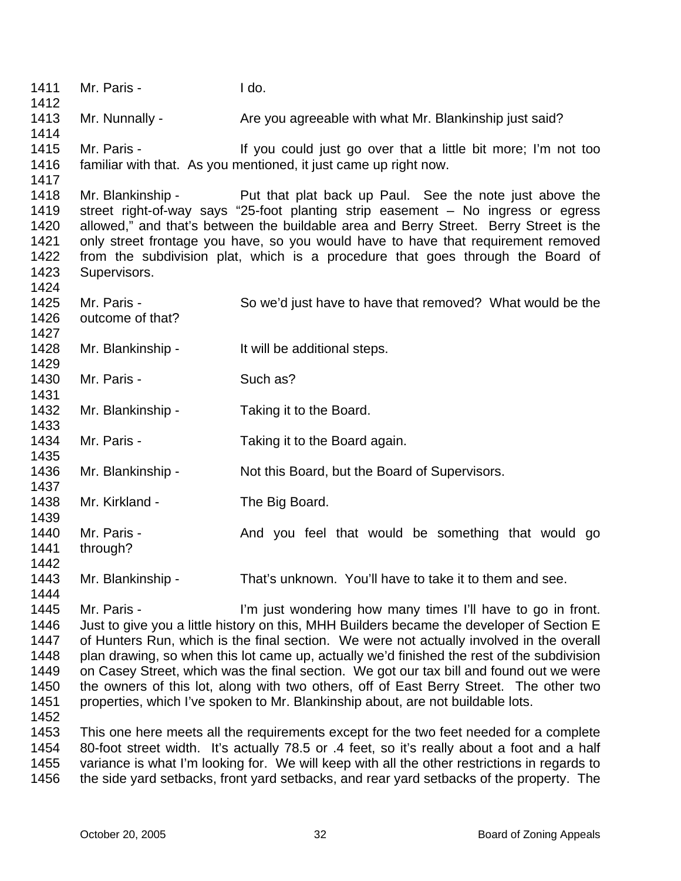1411 1412 1413 1414 1415 1416 1417 1418 1419 1420 1421 1422 1423 1424 1425 1426 1427 1428 1429 1430 1431 1432 1433 1434 1435 1436 1437 1438 1439 1440 1441 1442 1443 1444 1445 1446 1447 1448 1449 1450 1451 1452 Mr. Paris - I do. Mr. Nunnally - Are you agreeable with what Mr. Blankinship just said? Mr. Paris - The Mullet of the U.S. of the U.S. Paris - I'm not too if you could just go over that a little bit more; I'm not too familiar with that. As you mentioned, it just came up right now. Mr. Blankinship - Put that plat back up Paul. See the note just above the street right-of-way says "25-foot planting strip easement – No ingress or egress allowed," and that's between the buildable area and Berry Street. Berry Street is the only street frontage you have, so you would have to have that requirement removed from the subdivision plat, which is a procedure that goes through the Board of Supervisors. Mr. Paris - So we'd just have to have that removed? What would be the outcome of that? Mr. Blankinship - It will be additional steps. Mr. Paris - Such as? Mr. Blankinship - Taking it to the Board. Mr. Paris - Taking it to the Board again. Mr. Blankinship - Not this Board, but the Board of Supervisors. Mr. Kirkland - The Big Board. Mr. Paris - The And you feel that would be something that would go through? Mr. Blankinship - That's unknown. You'll have to take it to them and see. Mr. Paris - I'm just wondering how many times I'll have to go in front. Just to give you a little history on this, MHH Builders became the developer of Section E of Hunters Run, which is the final section. We were not actually involved in the overall plan drawing, so when this lot came up, actually we'd finished the rest of the subdivision on Casey Street, which was the final section. We got our tax bill and found out we were the owners of this lot, along with two others, off of East Berry Street. The other two properties, which I've spoken to Mr. Blankinship about, are not buildable lots.

1453 1454 1455 1456 This one here meets all the requirements except for the two feet needed for a complete 80-foot street width. It's actually 78.5 or .4 feet, so it's really about a foot and a half variance is what I'm looking for. We will keep with all the other restrictions in regards to the side yard setbacks, front yard setbacks, and rear yard setbacks of the property. The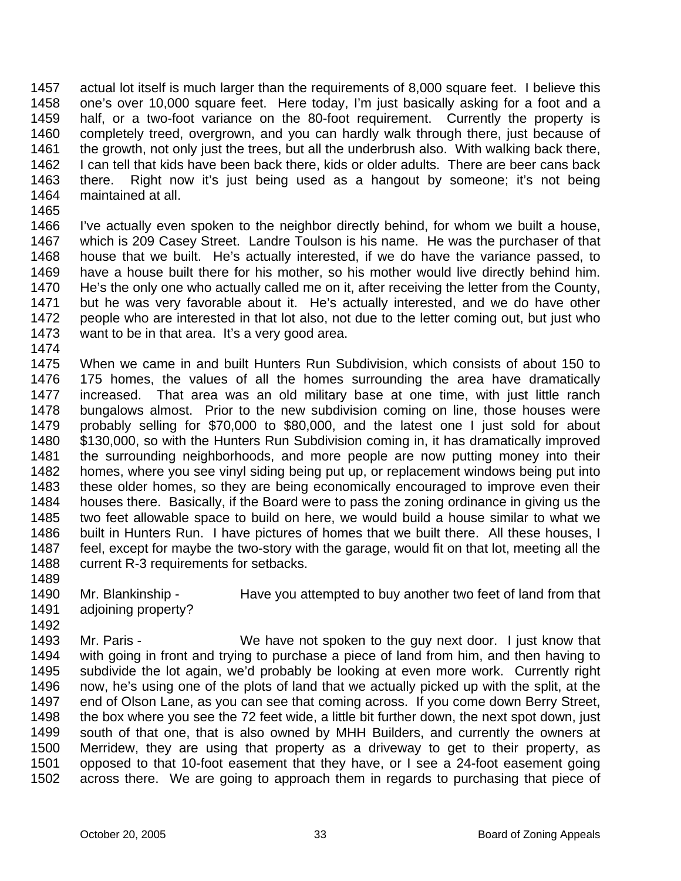1457 1458 1459 1460 1461 1462 1463 1464 actual lot itself is much larger than the requirements of 8,000 square feet. I believe this one's over 10,000 square feet. Here today, I'm just basically asking for a foot and a half, or a two-foot variance on the 80-foot requirement. Currently the property is completely treed, overgrown, and you can hardly walk through there, just because of the growth, not only just the trees, but all the underbrush also. With walking back there, I can tell that kids have been back there, kids or older adults. There are beer cans back there. Right now it's just being used as a hangout by someone; it's not being maintained at all.

1465

1466 1467 1468 1469 1470 1471 1472 1473 I've actually even spoken to the neighbor directly behind, for whom we built a house, which is 209 Casey Street. Landre Toulson is his name. He was the purchaser of that house that we built. He's actually interested, if we do have the variance passed, to have a house built there for his mother, so his mother would live directly behind him. He's the only one who actually called me on it, after receiving the letter from the County, but he was very favorable about it. He's actually interested, and we do have other people who are interested in that lot also, not due to the letter coming out, but just who want to be in that area. It's a very good area.

1474

1475 1476 1477 1478 1479 1480 1481 1482 1483 1484 1485 1486 1487 1488 When we came in and built Hunters Run Subdivision, which consists of about 150 to 175 homes, the values of all the homes surrounding the area have dramatically increased. That area was an old military base at one time, with just little ranch bungalows almost. Prior to the new subdivision coming on line, those houses were probably selling for \$70,000 to \$80,000, and the latest one I just sold for about \$130,000, so with the Hunters Run Subdivision coming in, it has dramatically improved the surrounding neighborhoods, and more people are now putting money into their homes, where you see vinyl siding being put up, or replacement windows being put into these older homes, so they are being economically encouraged to improve even their houses there. Basically, if the Board were to pass the zoning ordinance in giving us the two feet allowable space to build on here, we would build a house similar to what we built in Hunters Run. I have pictures of homes that we built there. All these houses, I feel, except for maybe the two-story with the garage, would fit on that lot, meeting all the current R-3 requirements for setbacks.

1489

1492

1490 1491 Mr. Blankinship - Have you attempted to buy another two feet of land from that adjoining property?

1493 1494 1495 1496 1497 1498 1499 1500 1501 1502 Mr. Paris - We have not spoken to the guy next door. I just know that with going in front and trying to purchase a piece of land from him, and then having to subdivide the lot again, we'd probably be looking at even more work. Currently right now, he's using one of the plots of land that we actually picked up with the split, at the end of Olson Lane, as you can see that coming across. If you come down Berry Street, the box where you see the 72 feet wide, a little bit further down, the next spot down, just south of that one, that is also owned by MHH Builders, and currently the owners at Merridew, they are using that property as a driveway to get to their property, as opposed to that 10-foot easement that they have, or I see a 24-foot easement going across there. We are going to approach them in regards to purchasing that piece of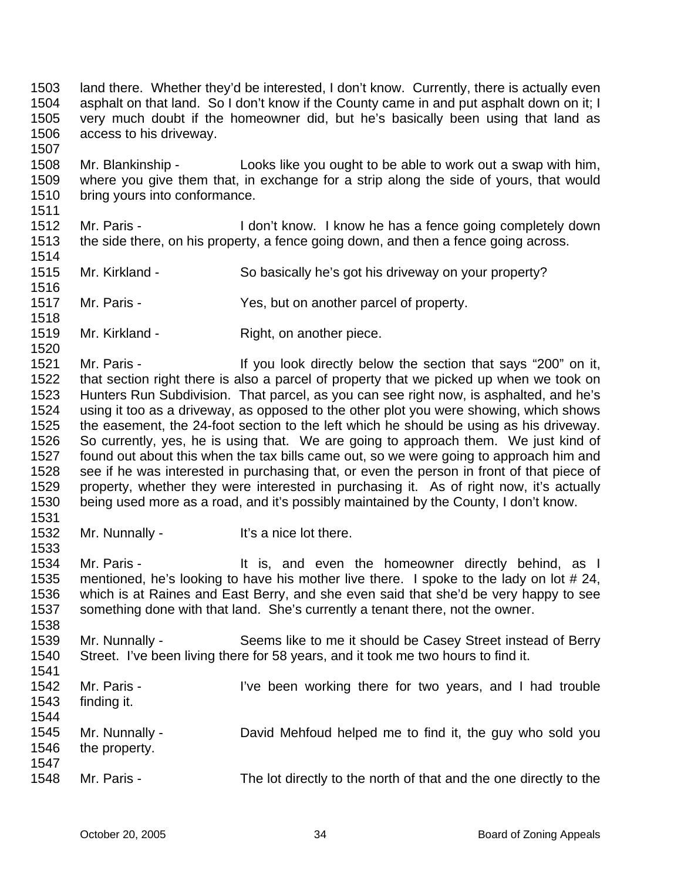1503 1504 1505 1506 1507 land there. Whether they'd be interested, I don't know. Currently, there is actually even asphalt on that land. So I don't know if the County came in and put asphalt down on it; I very much doubt if the homeowner did, but he's basically been using that land as access to his driveway.

1508 1509 1510 1511 Mr. Blankinship - Looks like you ought to be able to work out a swap with him, where you give them that, in exchange for a strip along the side of yours, that would bring yours into conformance.

- 1512 1513 1514 Mr. Paris - I don't know. I know he has a fence going completely down the side there, on his property, a fence going down, and then a fence going across.
- 1515 1516 Mr. Kirkland - So basically he's got his driveway on your property?
- 1517 Mr. Paris - Yes, but on another parcel of property.
- 1519 Mr. Kirkland - Right, on another piece.

1518

1520

1533

1538

- 1521 1522 1523 1524 1525 1526 1527 1528 1529 1530 1531 Mr. Paris - If you look directly below the section that says "200" on it, that section right there is also a parcel of property that we picked up when we took on Hunters Run Subdivision. That parcel, as you can see right now, is asphalted, and he's using it too as a driveway, as opposed to the other plot you were showing, which shows the easement, the 24-foot section to the left which he should be using as his driveway. So currently, yes, he is using that. We are going to approach them. We just kind of found out about this when the tax bills came out, so we were going to approach him and see if he was interested in purchasing that, or even the person in front of that piece of property, whether they were interested in purchasing it. As of right now, it's actually being used more as a road, and it's possibly maintained by the County, I don't know.
- 1532 Mr. Nunnally - It's a nice lot there.
- 1534 1535 1536 1537 Mr. Paris - The Muslim state of the homeowner directly behind, as I mentioned, he's looking to have his mother live there. I spoke to the lady on lot # 24, which is at Raines and East Berry, and she even said that she'd be very happy to see something done with that land. She's currently a tenant there, not the owner.
- 1539 1540 Mr. Nunnally - Seems like to me it should be Casey Street instead of Berry Street. I've been living there for 58 years, and it took me two hours to find it.

| 1542<br>1543 | Mr. Paris -<br>finding it. | I've been working there for two years, and I had trouble          |
|--------------|----------------------------|-------------------------------------------------------------------|
| 1544         |                            |                                                                   |
| 1545         | Mr. Nunnally -             | David Mehfoud helped me to find it, the guy who sold you          |
| 1546         | the property.              |                                                                   |
| 1547         |                            |                                                                   |
| 1548         | Mr. Paris -                | The lot directly to the north of that and the one directly to the |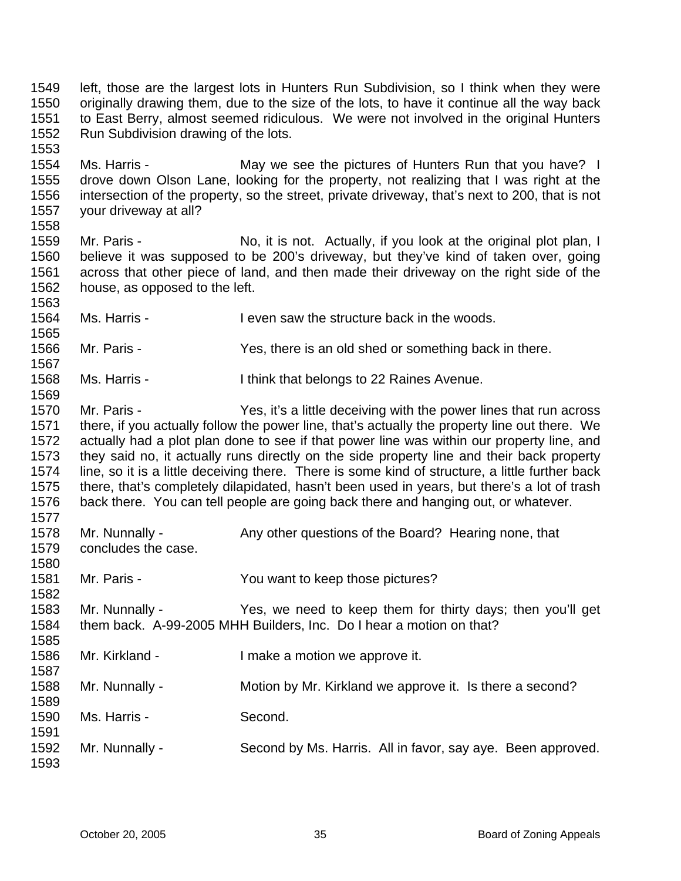1551 1552 1553 1554 1555 1556 1557 1558 1559 1560 1561 1562 1563 1564 1565 1566 1567 1568 1569 1570 1571 1572 1573 1574 1575 1576 1577 1578 1579 1580 1581 1582 originally drawing them, due to the size of the lots, to have it continue all the way back to East Berry, almost seemed ridiculous. We were not involved in the original Hunters Run Subdivision drawing of the lots. Ms. Harris - The May we see the pictures of Hunters Run that you have? I drove down Olson Lane, looking for the property, not realizing that I was right at the intersection of the property, so the street, private driveway, that's next to 200, that is not your driveway at all? Mr. Paris - No, it is not. Actually, if you look at the original plot plan, I believe it was supposed to be 200's driveway, but they've kind of taken over, going across that other piece of land, and then made their driveway on the right side of the house, as opposed to the left. Ms. Harris - The Ven saw the structure back in the woods. Mr. Paris - Yes, there is an old shed or something back in there. Ms. Harris - I think that belongs to 22 Raines Avenue. Mr. Paris - The Yes, it's a little deceiving with the power lines that run across there, if you actually follow the power line, that's actually the property line out there. We actually had a plot plan done to see if that power line was within our property line, and they said no, it actually runs directly on the side property line and their back property line, so it is a little deceiving there. There is some kind of structure, a little further back there, that's completely dilapidated, hasn't been used in years, but there's a lot of trash back there. You can tell people are going back there and hanging out, or whatever. Mr. Nunnally - Any other questions of the Board? Hearing none, that concludes the case. Mr. Paris - The You want to keep those pictures?

left, those are the largest lots in Hunters Run Subdivision, so I think when they were

1583 1584 1585 Mr. Nunnally - Yes, we need to keep them for thirty days; then you'll get them back. A-99-2005 MHH Builders, Inc. Do I hear a motion on that?

1586 1587 Mr. Kirkland - The Muslim I make a motion we approve it.

Mr. Nunnally - Motion by Mr. Kirkland we approve it. Is there a second?

1590 Ms. Harris - Second.

1592 1593 Mr. Nunnally - Second by Ms. Harris. All in favor, say aye. Been approved.

1588 1589

1591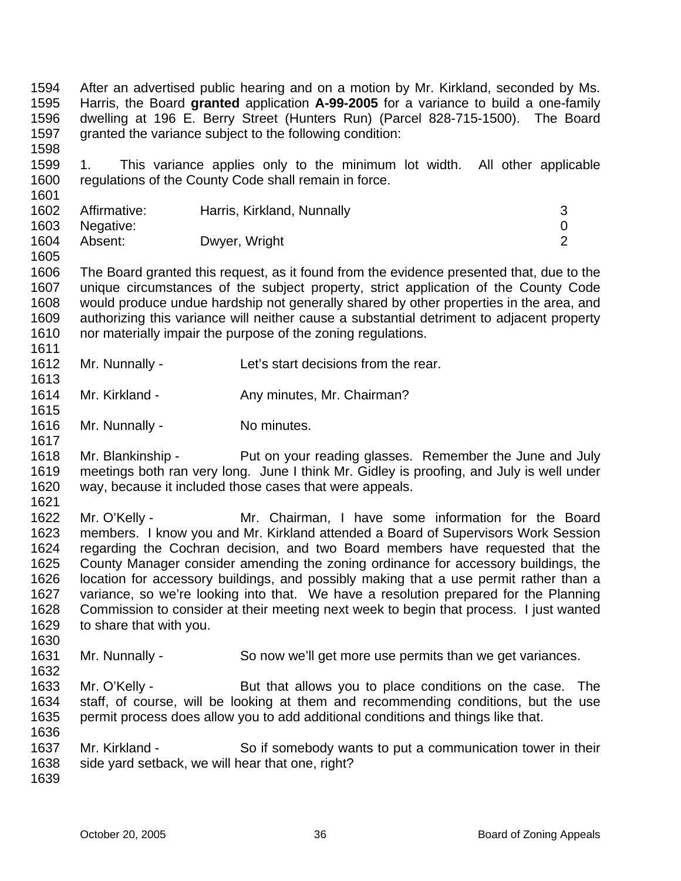1594 1595 1596 1597 1598 After an advertised public hearing and on a motion by Mr. Kirkland, seconded by Ms. Harris, the Board **granted** application **A-99-2005** for a variance to build a one-family dwelling at 196 E. Berry Street (Hunters Run) (Parcel 828-715-1500). The Board granted the variance subject to the following condition:

1599 1600 1. This variance applies only to the minimum lot width. All other applicable regulations of the County Code shall remain in force.

|      | 1602 Affirmative: | Harris, Kirkland, Nunnally |  |
|------|-------------------|----------------------------|--|
|      | 1603 Negative:    |                            |  |
| 1604 | Absent:           | Dwyer, Wright              |  |

1606 1607 1608 1609 1610 1611 The Board granted this request, as it found from the evidence presented that, due to the unique circumstances of the subject property, strict application of the County Code would produce undue hardship not generally shared by other properties in the area, and authorizing this variance will neither cause a substantial detriment to adjacent property nor materially impair the purpose of the zoning regulations.

- 1612 1613 Mr. Nunnally - Let's start decisions from the rear.
- 1614 Mr. Kirkland - Any minutes, Mr. Chairman?
- 1616 Mr. Nunnally - No minutes.
- 1618 1619 1620 Mr. Blankinship - Put on your reading glasses. Remember the June and July meetings both ran very long. June I think Mr. Gidley is proofing, and July is well under way, because it included those cases that were appeals.
- 1622 1623 1624 1625 1626 1627 1628 1629 Mr. O'Kelly - Mr. Chairman, I have some information for the Board members. I know you and Mr. Kirkland attended a Board of Supervisors Work Session regarding the Cochran decision, and two Board members have requested that the County Manager consider amending the zoning ordinance for accessory buildings, the location for accessory buildings, and possibly making that a use permit rather than a variance, so we're looking into that. We have a resolution prepared for the Planning Commission to consider at their meeting next week to begin that process. I just wanted to share that with you.
- 1631 Mr. Nunnally - So now we'll get more use permits than we get variances.
- 1633 1634 1635 Mr. O'Kelly - But that allows you to place conditions on the case. The staff, of course, will be looking at them and recommending conditions, but the use permit process does allow you to add additional conditions and things like that.
- 1637 1638 Mr. Kirkland - So if somebody wants to put a communication tower in their side yard setback, we will hear that one, right?
- 1639

1636

1601

1605

1615

1617

1621

1630